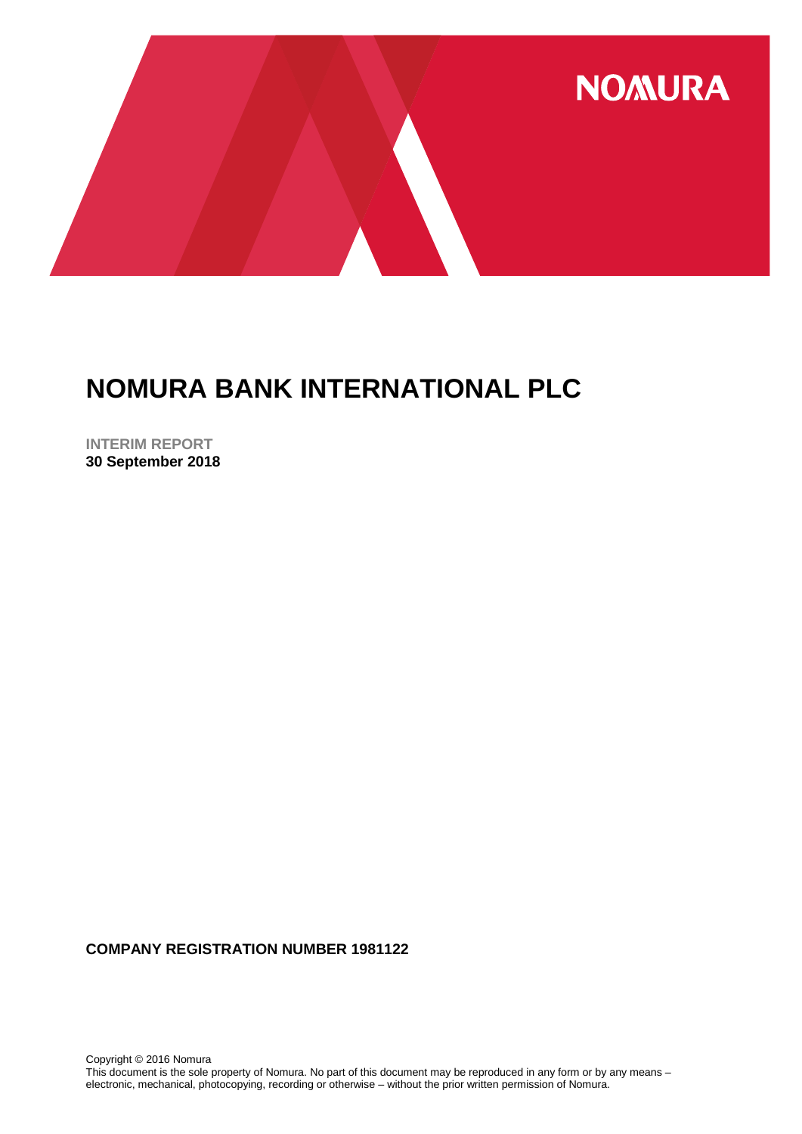

**INTERIM REPORT 30 September 2018**

**COMPANY REGISTRATION NUMBER 1981122**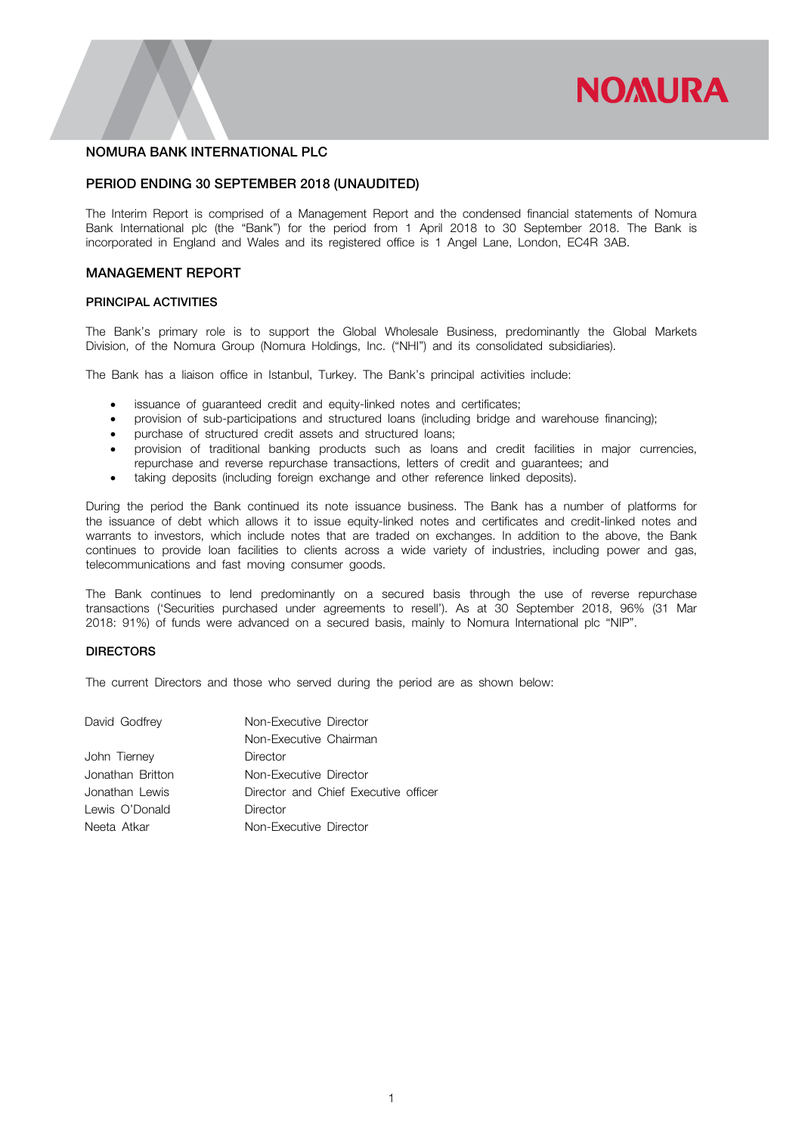# **NOMURA**

# NOMURA BANK INTERNATIONAL PLC

# PERIOD ENDING 30 SEPTEMBER 2018 (UNAUDITED)

The Interim Report is comprised of a Management Report and the condensed financial statements of Nomura Bank International plc (the "Bank") for the period from 1 April 2018 to 30 September 2018. The Bank is incorporated in England and Wales and its registered office is 1 Angel Lane, London, EC4R 3AB.

# MANAGEMENT REPORT

### PRINCIPAL ACTIVITIES

The Bank's primary role is to support the Global Wholesale Business, predominantly the Global Markets Division, of the Nomura Group (Nomura Holdings, Inc. ("NHI") and its consolidated subsidiaries).

The Bank has a liaison office in Istanbul, Turkey. The Bank's principal activities include:

- issuance of guaranteed credit and equity-linked notes and certificates;
- provision of sub-participations and structured loans (including bridge and warehouse financing);
- purchase of structured credit assets and structured loans;
- provision of traditional banking products such as loans and credit facilities in major currencies, repurchase and reverse repurchase transactions, letters of credit and guarantees; and
- taking deposits (including foreign exchange and other reference linked deposits).

During the period the Bank continued its note issuance business. The Bank has a number of platforms for the issuance of debt which allows it to issue equity-linked notes and certificates and credit-linked notes and warrants to investors, which include notes that are traded on exchanges. In addition to the above, the Bank continues to provide loan facilities to clients across a wide variety of industries, including power and gas, telecommunications and fast moving consumer goods.

The Bank continues to lend predominantly on a secured basis through the use of reverse repurchase transactions ('Securities purchased under agreements to resell'). As at 30 September 2018, 96% (31 Mar 2018: 91%) of funds were advanced on a secured basis, mainly to Nomura International plc "NIP".

#### **DIRECTORS**

The current Directors and those who served during the period are as shown below:

| David Godfrey    | Non-Executive Director               |
|------------------|--------------------------------------|
|                  | Non-Executive Chairman               |
| John Tierney     | Director                             |
| Jonathan Britton | Non-Executive Director               |
| Jonathan Lewis   | Director and Chief Executive officer |
| Lewis O'Donald   | Director                             |
| Neeta Atkar      | Non-Executive Director               |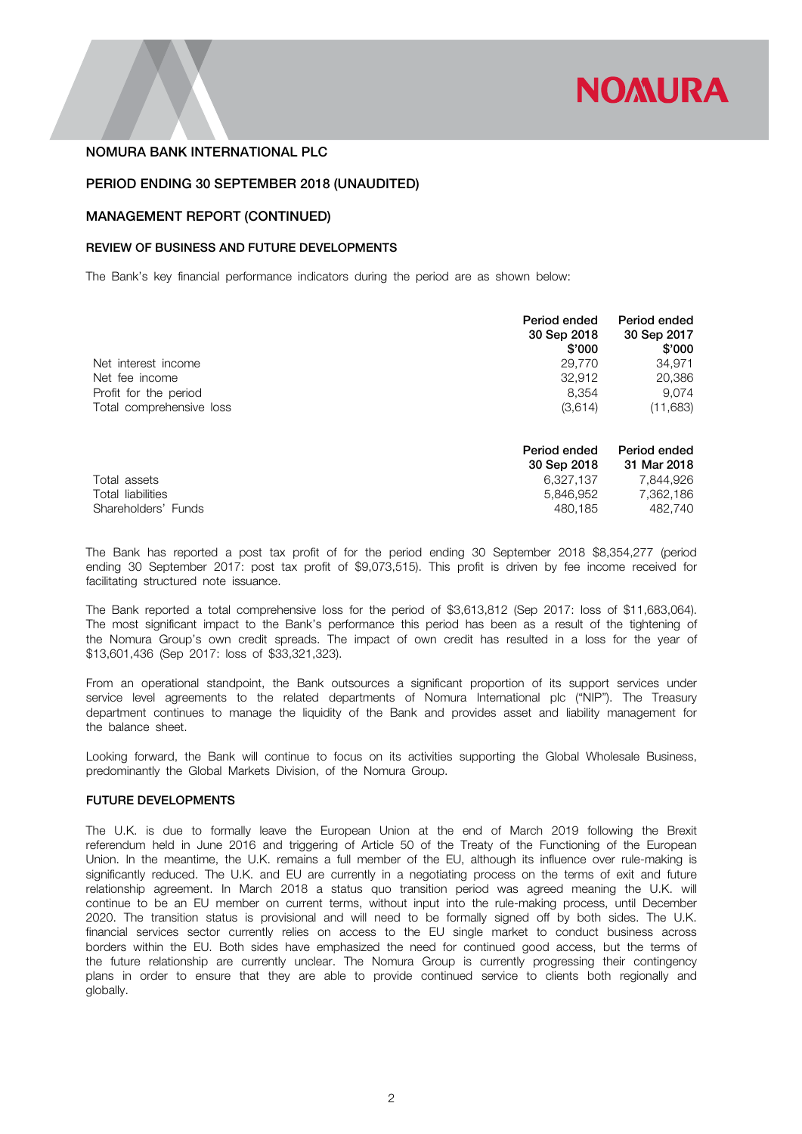

### PERIOD ENDING 30 SEPTEMBER 2018 (UNAUDITED)

### MANAGEMENT REPORT (CONTINUED)

### REVIEW OF BUSINESS AND FUTURE DEVELOPMENTS

The Bank's key financial performance indicators during the period are as shown below:

|                          | Period ended<br>30 Sep 2018 | Period ended<br>30 Sep 2017 |
|--------------------------|-----------------------------|-----------------------------|
|                          | \$'000                      | \$'000                      |
| Net interest income      | 29,770                      | 34.971                      |
| Net fee income           | 32.912                      | 20,386                      |
| Profit for the period    | 8.354                       | 9.074                       |
| Total comprehensive loss | (3,614)                     | (11,683)                    |
|                          | Period ended                | Period ended                |
|                          | 30 Sep 2018                 | 31 Mar 2018                 |
| Total assets             | 6,327,137                   | 7,844,926                   |
| Total liabilities        | 5,846,952                   | 7,362,186                   |
| Shareholders' Funds      | 480.185                     | 482.740                     |

The Bank has reported a post tax profit of for the period ending 30 September 2018 \$8,354,277 (period ending 30 September 2017: post tax profit of \$9,073,515). This profit is driven by fee income received for facilitating structured note issuance.

The Bank reported a total comprehensive loss for the period of \$3,613,812 (Sep 2017: loss of \$11,683,064). The most significant impact to the Bank's performance this period has been as a result of the tightening of the Nomura Group's own credit spreads. The impact of own credit has resulted in a loss for the year of \$13,601,436 (Sep 2017: loss of \$33,321,323).

From an operational standpoint, the Bank outsources a significant proportion of its support services under service level agreements to the related departments of Nomura International plc ("NIP"). The Treasury department continues to manage the liquidity of the Bank and provides asset and liability management for the balance sheet.

Looking forward, the Bank will continue to focus on its activities supporting the Global Wholesale Business, predominantly the Global Markets Division, of the Nomura Group.

#### FUTURE DEVELOPMENTS

The U.K. is due to formally leave the European Union at the end of March 2019 following the Brexit referendum held in June 2016 and triggering of Article 50 of the Treaty of the Functioning of the European Union. In the meantime, the U.K. remains a full member of the EU, although its influence over rule-making is significantly reduced. The U.K. and EU are currently in a negotiating process on the terms of exit and future relationship agreement. In March 2018 a status quo transition period was agreed meaning the U.K. will continue to be an EU member on current terms, without input into the rule-making process, until December 2020. The transition status is provisional and will need to be formally signed off by both sides. The U.K. financial services sector currently relies on access to the EU single market to conduct business across borders within the EU. Both sides have emphasized the need for continued good access, but the terms of the future relationship are currently unclear. The Nomura Group is currently progressing their contingency plans in order to ensure that they are able to provide continued service to clients both regionally and globally.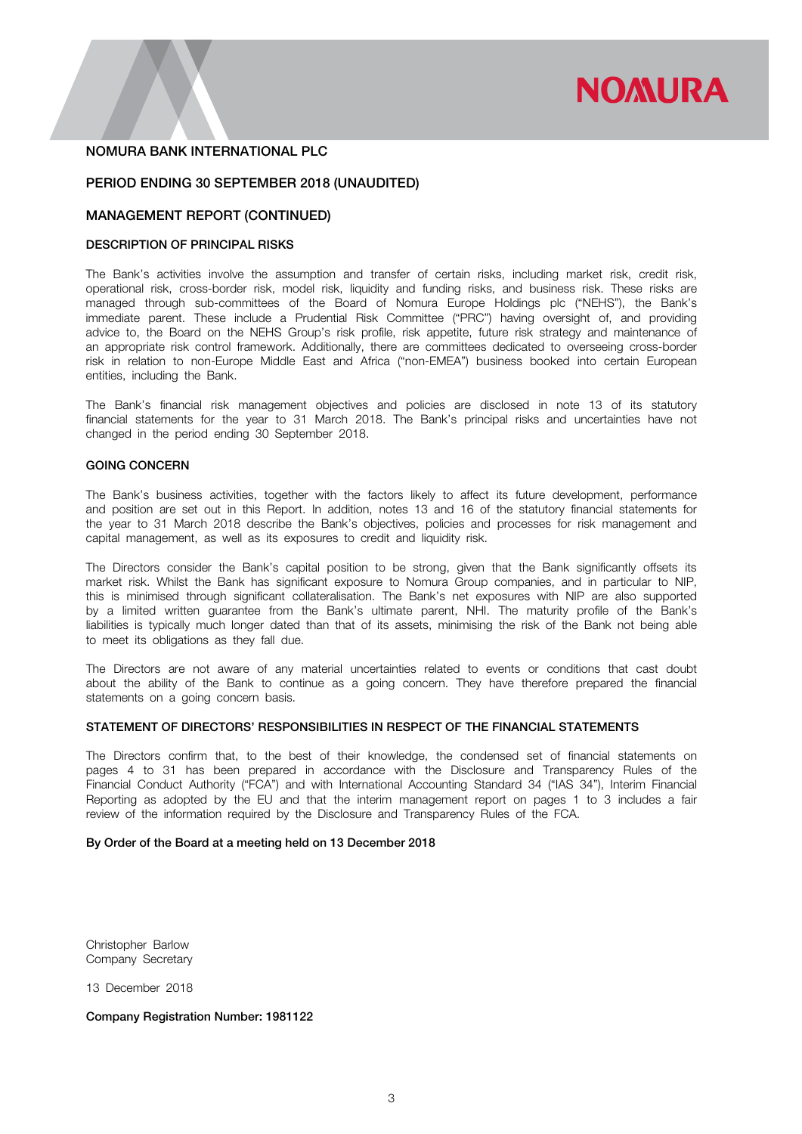

### PERIOD ENDING 30 SEPTEMBER 2018 (UNAUDITED)

### MANAGEMENT REPORT (CONTINUED)

### DESCRIPTION OF PRINCIPAL RISKS

The Bank's activities involve the assumption and transfer of certain risks, including market risk, credit risk, operational risk, cross-border risk, model risk, liquidity and funding risks, and business risk. These risks are managed through sub-committees of the Board of Nomura Europe Holdings plc ("NEHS"), the Bank's immediate parent. These include a Prudential Risk Committee ("PRC") having oversight of, and providing advice to, the Board on the NEHS Group's risk profile, risk appetite, future risk strategy and maintenance of an appropriate risk control framework. Additionally, there are committees dedicated to overseeing cross-border risk in relation to non-Europe Middle East and Africa ("non-EMEA") business booked into certain European entities, including the Bank.

The Bank's financial risk management objectives and policies are disclosed in note 13 of its statutory financial statements for the year to 31 March 2018. The Bank's principal risks and uncertainties have not changed in the period ending 30 September 2018.

# GOING CONCERN

The Bank's business activities, together with the factors likely to affect its future development, performance and position are set out in this Report. In addition, notes 13 and 16 of the statutory financial statements for the year to 31 March 2018 describe the Bank's objectives, policies and processes for risk management and capital management, as well as its exposures to credit and liquidity risk.

The Directors consider the Bank's capital position to be strong, given that the Bank significantly offsets its market risk. Whilst the Bank has significant exposure to Nomura Group companies, and in particular to NIP, this is minimised through significant collateralisation. The Bank's net exposures with NIP are also supported by a limited written guarantee from the Bank's ultimate parent, NHI. The maturity profile of the Bank's liabilities is typically much longer dated than that of its assets, minimising the risk of the Bank not being able to meet its obligations as they fall due.

The Directors are not aware of any material uncertainties related to events or conditions that cast doubt about the ability of the Bank to continue as a going concern. They have therefore prepared the financial statements on a going concern basis.

### STATEMENT OF DIRECTORS' RESPONSIBILITIES IN RESPECT OF THE FINANCIAL STATEMENTS

The Directors confirm that, to the best of their knowledge, the condensed set of financial statements on pages 4 to 31 has been prepared in accordance with the Disclosure and Transparency Rules of the Financial Conduct Authority ("FCA") and with International Accounting Standard 34 ("IAS 34"), Interim Financial Reporting as adopted by the EU and that the interim management report on pages 1 to 3 includes a fair review of the information required by the Disclosure and Transparency Rules of the FCA.

#### By Order of the Board at a meeting held on 13 December 2018

Christopher Barlow Company Secretary

13 December 2018

Company Registration Number: 1981122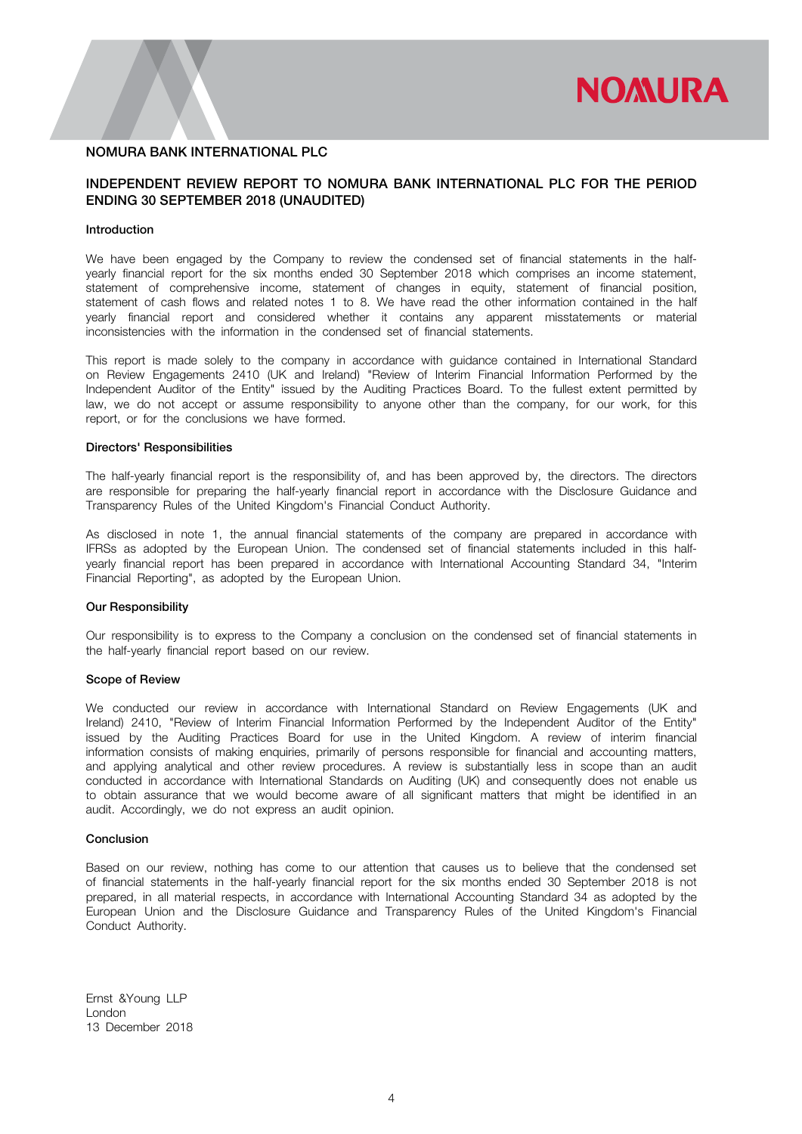

# INDEPENDENT REVIEW REPORT TO NOMURA BANK INTERNATIONAL PLC FOR THE PERIOD ENDING 30 SEPTEMBER 2018 (UNAUDITED)

### Introduction

We have been engaged by the Company to review the condensed set of financial statements in the halfyearly financial report for the six months ended 30 September 2018 which comprises an income statement, statement of comprehensive income, statement of changes in equity, statement of financial position, statement of cash flows and related notes 1 to 8. We have read the other information contained in the half yearly financial report and considered whether it contains any apparent misstatements or material inconsistencies with the information in the condensed set of financial statements.

This report is made solely to the company in accordance with guidance contained in International Standard on Review Engagements 2410 (UK and Ireland) "Review of Interim Financial Information Performed by the Independent Auditor of the Entity" issued by the Auditing Practices Board. To the fullest extent permitted by law, we do not accept or assume responsibility to anyone other than the company, for our work, for this report, or for the conclusions we have formed.

#### Directors' Responsibilities

The half-yearly financial report is the responsibility of, and has been approved by, the directors. The directors are responsible for preparing the half-yearly financial report in accordance with the Disclosure Guidance and Transparency Rules of the United Kingdom's Financial Conduct Authority.

As disclosed in note 1, the annual financial statements of the company are prepared in accordance with IFRSs as adopted by the European Union. The condensed set of financial statements included in this halfyearly financial report has been prepared in accordance with International Accounting Standard 34, "Interim Financial Reporting", as adopted by the European Union.

#### Our Responsibility

Our responsibility is to express to the Company a conclusion on the condensed set of financial statements in the half-yearly financial report based on our review.

#### Scope of Review

We conducted our review in accordance with International Standard on Review Engagements (UK and Ireland) 2410, "Review of Interim Financial Information Performed by the Independent Auditor of the Entity" issued by the Auditing Practices Board for use in the United Kingdom. A review of interim financial information consists of making enquiries, primarily of persons responsible for financial and accounting matters, and applying analytical and other review procedures. A review is substantially less in scope than an audit conducted in accordance with International Standards on Auditing (UK) and consequently does not enable us to obtain assurance that we would become aware of all significant matters that might be identified in an audit. Accordingly, we do not express an audit opinion.

#### Conclusion

Based on our review, nothing has come to our attention that causes us to believe that the condensed set of financial statements in the half-yearly financial report for the six months ended 30 September 2018 is not prepared, in all material respects, in accordance with International Accounting Standard 34 as adopted by the European Union and the Disclosure Guidance and Transparency Rules of the United Kingdom's Financial Conduct Authority.

Ernst &Young LLP London 13 December 2018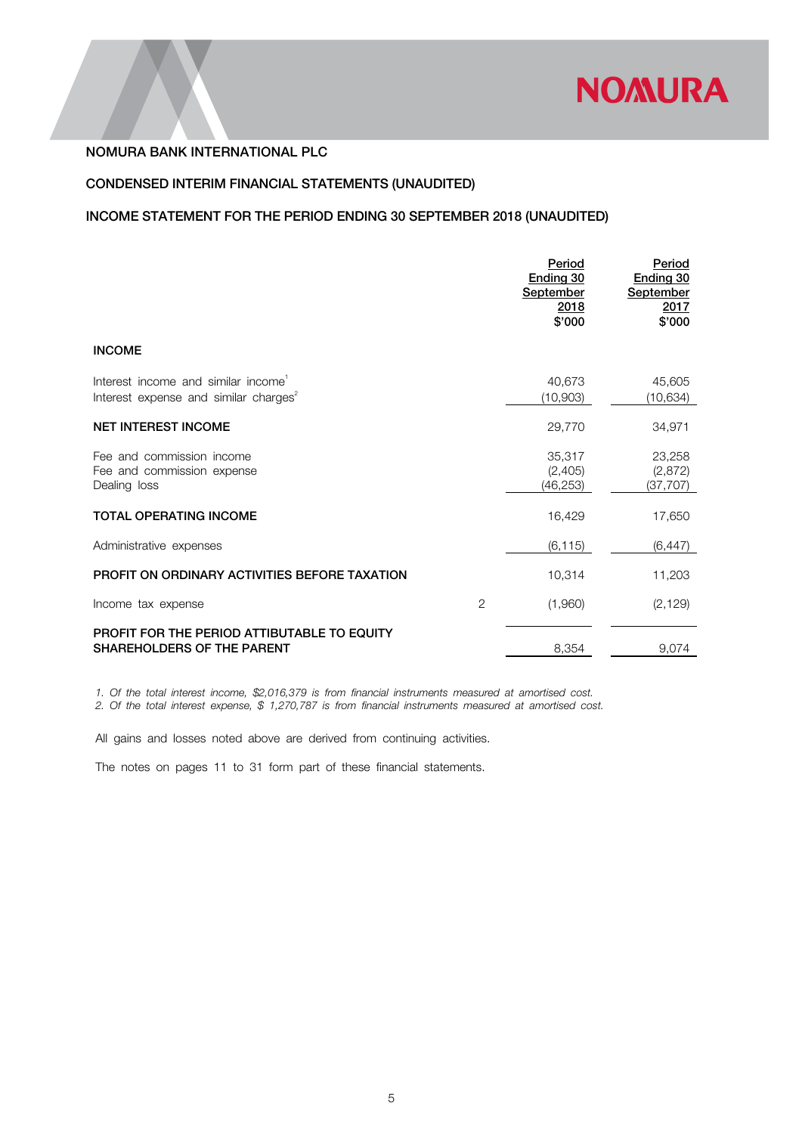

# CONDENSED INTERIM FINANCIAL STATEMENTS (UNAUDITED)

# INCOME STATEMENT FOR THE PERIOD ENDING 30 SEPTEMBER 2018 (UNAUDITED)

|                                                                                                      |                | Period<br>Ending 30<br>September<br>2018<br>\$'000 | Period<br>Ending 30<br><b>September</b><br>2017<br>\$'000 |
|------------------------------------------------------------------------------------------------------|----------------|----------------------------------------------------|-----------------------------------------------------------|
| <b>INCOME</b>                                                                                        |                |                                                    |                                                           |
| Interest income and similar income <sup>1</sup><br>Interest expense and similar charges <sup>2</sup> |                | 40,673<br>(10,903)                                 | 45,605<br>(10,634)                                        |
| <b>NET INTEREST INCOME</b>                                                                           |                | 29,770                                             | 34,971                                                    |
| Fee and commission income<br>Fee and commission expense<br>Dealing loss                              |                | 35,317<br>(2,405)<br>(46, 253)                     | 23,258<br>(2,872)<br>(37, 707)                            |
| <b>TOTAL OPERATING INCOME</b>                                                                        |                | 16,429                                             | 17,650                                                    |
| Administrative expenses                                                                              |                | (6, 115)                                           | (6, 447)                                                  |
| PROFIT ON ORDINARY ACTIVITIES BEFORE TAXATION                                                        |                | 10,314                                             | 11,203                                                    |
| Income tax expense                                                                                   | $\overline{2}$ | (1,960)                                            | (2, 129)                                                  |
| <b>PROFIT FOR THE PERIOD ATTIBUTABLE TO EQUITY</b><br><b>SHAREHOLDERS OF THE PARENT</b>              |                | 8,354                                              | 9,074                                                     |

*1. Of the total interest income, \$2,016,379 is from financial instruments measured at amortised cost.*

*2. Of the total interest expense, \$ 1,270,787 is from financial instruments measured at amortised cost.*

All gains and losses noted above are derived from continuing activities.

The notes on pages 11 to 31 form part of these financial statements.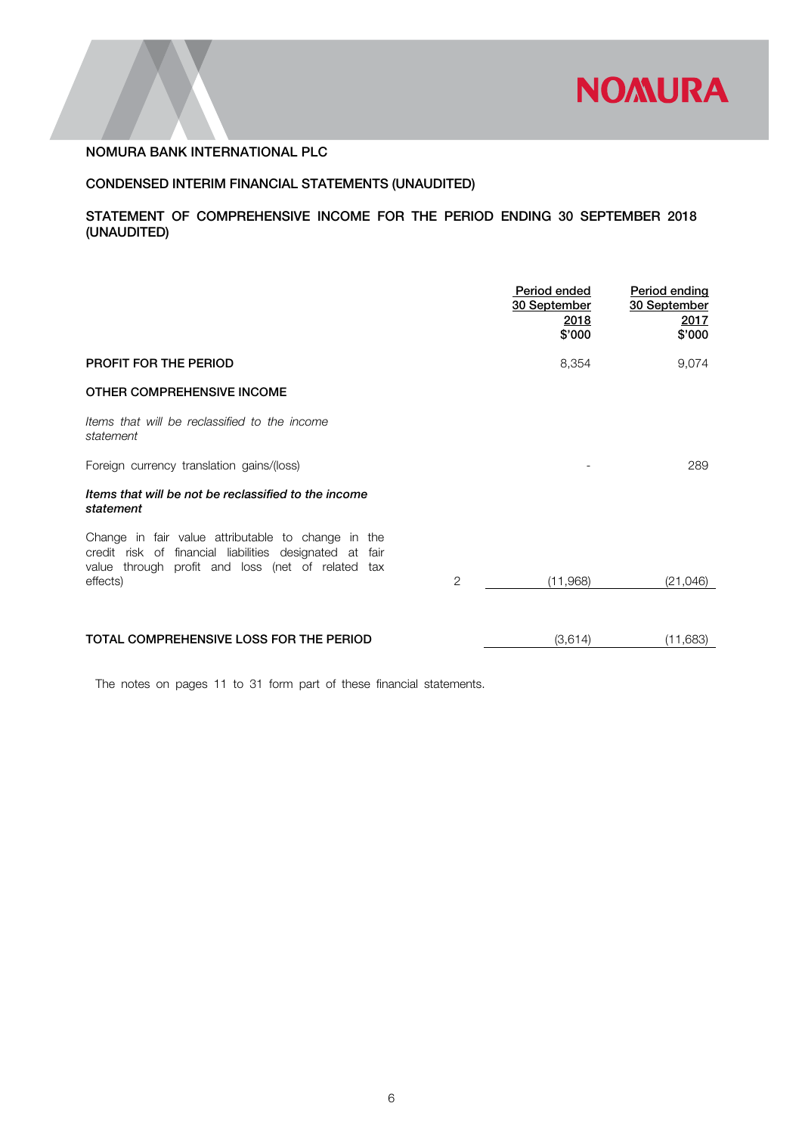

# CONDENSED INTERIM FINANCIAL STATEMENTS (UNAUDITED)

# STATEMENT OF COMPREHENSIVE INCOME FOR THE PERIOD ENDING 30 SEPTEMBER 2018 (UNAUDITED)

|                                                                                                                                                                                     | Period ended<br>30 September<br><u>2018</u><br>\$'000 | Period ending<br>30 September<br><u>2017</u><br>\$'000 |
|-------------------------------------------------------------------------------------------------------------------------------------------------------------------------------------|-------------------------------------------------------|--------------------------------------------------------|
| PROFIT FOR THE PERIOD                                                                                                                                                               | 8,354                                                 | 9,074                                                  |
| OTHER COMPREHENSIVE INCOME                                                                                                                                                          |                                                       |                                                        |
| Items that will be reclassified to the income<br>statement                                                                                                                          |                                                       |                                                        |
| Foreign currency translation gains/(loss)                                                                                                                                           |                                                       | 289                                                    |
| Items that will be not be reclassified to the income<br>statement                                                                                                                   |                                                       |                                                        |
| Change in fair value attributable to change in the<br>credit risk of financial liabilities designated at fair<br>value through profit and loss (net of related tax<br>2<br>effects) | (11,968)                                              | (21,046)                                               |
|                                                                                                                                                                                     |                                                       |                                                        |
| TOTAL COMPREHENSIVE LOSS FOR THE PERIOD                                                                                                                                             | (3,614)                                               | (11,683)                                               |

The notes on pages 11 to 31 form part of these financial statements.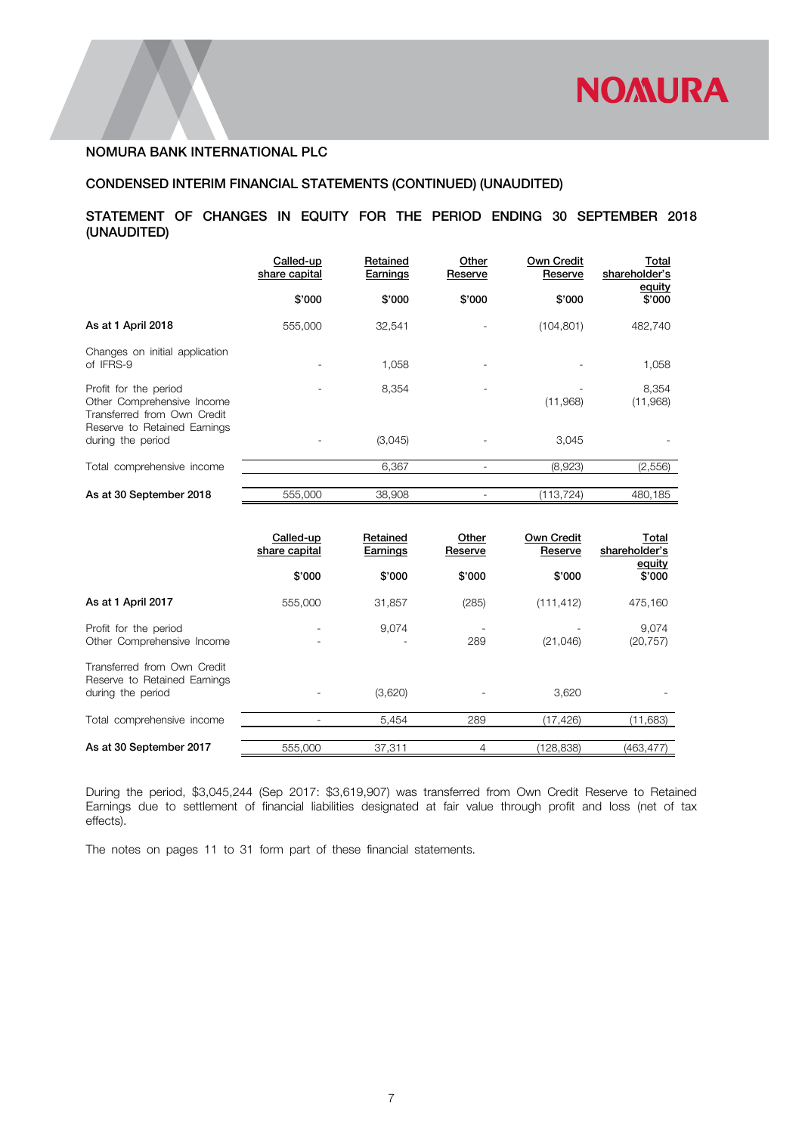# CONDENSED INTERIM FINANCIAL STATEMENTS (CONTINUED) (UNAUDITED)

# STATEMENT OF CHANGES IN EQUITY FOR THE PERIOD ENDING 30 SEPTEMBER 2018 (UNAUDITED)

|                                                                                                                    | Called-up<br>share capital | Retained<br><b>Earnings</b> | Other<br>Reserve | <b>Own Credit</b><br>Reserve | Total<br>shareholder's<br>equity |
|--------------------------------------------------------------------------------------------------------------------|----------------------------|-----------------------------|------------------|------------------------------|----------------------------------|
|                                                                                                                    | \$'000                     | \$'000                      | \$'000           | \$'000                       | \$'000                           |
| As at 1 April 2018                                                                                                 | 555,000                    | 32,541                      |                  | (104, 801)                   | 482,740                          |
| Changes on initial application<br>of IFRS-9                                                                        |                            | 1,058                       |                  |                              | 1,058                            |
| Profit for the period<br>Other Comprehensive Income<br>Transferred from Own Credit<br>Reserve to Retained Earnings |                            | 8,354                       |                  | (11,968)                     | 8,354<br>(11,968)                |
| during the period                                                                                                  |                            | (3,045)                     |                  | 3,045                        |                                  |
| Total comprehensive income                                                                                         |                            | 6.367                       |                  | (8,923)                      | (2,556)                          |
| As at 30 September 2018                                                                                            | 555,000                    | 38,908                      |                  | (113,724)                    | 480.185                          |

|                                                                                  | Called-up<br>share capital | Retained<br>Earnings | Other<br>Reserve | <b>Own Credit</b><br>Reserve | Total<br>shareholder's<br>equity |
|----------------------------------------------------------------------------------|----------------------------|----------------------|------------------|------------------------------|----------------------------------|
|                                                                                  | \$'000                     | \$'000               | \$'000           | \$'000                       | \$'000                           |
| As at 1 April 2017                                                               | 555,000                    | 31,857               | (285)            | (111, 412)                   | 475,160                          |
| Profit for the period<br>Other Comprehensive Income                              |                            | 9,074                | 289              | (21, 046)                    | 9,074<br>(20, 757)               |
| Transferred from Own Credit<br>Reserve to Retained Earnings<br>during the period |                            | (3,620)              |                  | 3,620                        |                                  |
| Total comprehensive income                                                       |                            | 5,454                | 289              | (17, 426)                    | (11,683)                         |
| As at 30 September 2017                                                          | 555,000                    | 37,311               | 4                | (128,838)                    | (463,477)                        |

During the period, \$3,045,244 (Sep 2017: \$3,619,907) was transferred from Own Credit Reserve to Retained Earnings due to settlement of financial liabilities designated at fair value through profit and loss (net of tax effects).

The notes on pages 11 to 31 form part of these financial statements.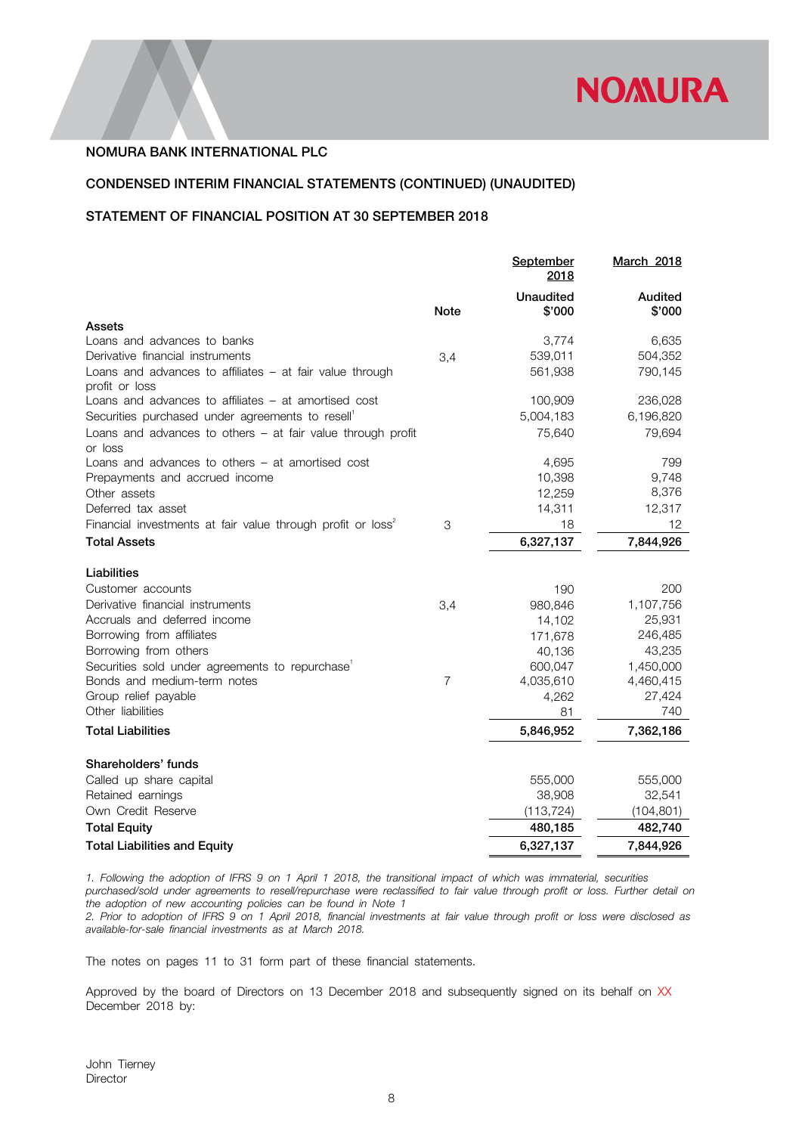

# CONDENSED INTERIM FINANCIAL STATEMENTS (CONTINUED) (UNAUDITED)

# STATEMENT OF FINANCIAL POSITION AT 30 SEPTEMBER 2018

|                                                                            |             | September<br>2018 | <b>March 2018</b> |
|----------------------------------------------------------------------------|-------------|-------------------|-------------------|
|                                                                            |             | <b>Unaudited</b>  | Audited           |
| Assets                                                                     | <b>Note</b> | \$'000            | \$'000            |
| Loans and advances to banks                                                |             | 3,774             | 6,635             |
| Derivative financial instruments                                           | 3,4         | 539,011           | 504,352           |
| Loans and advances to affiliates - at fair value through<br>profit or loss |             | 561,938           | 790,145           |
| Loans and advances to affiliates $-$ at amortised cost                     |             | 100,909           | 236,028           |
| Securities purchased under agreements to resell <sup>1</sup>               |             | 5,004,183         | 6,196,820         |
| Loans and advances to others - at fair value through profit<br>or loss     |             | 75,640            | 79,694            |
| Loans and advances to others – at amortised cost                           |             | 4,695             | 799               |
| Prepayments and accrued income                                             |             | 10,398            | 9,748             |
| Other assets                                                               |             | 12,259            | 8,376             |
| Deferred tax asset                                                         |             | 14,311            | 12,317            |
| Financial investments at fair value through profit or loss <sup>2</sup>    | 3           | 18                | 12                |
| <b>Total Assets</b>                                                        |             | 6,327,137         | 7,844,926         |
| Liabilities                                                                |             |                   |                   |
| Customer accounts                                                          |             | 190               | 200               |
| Derivative financial instruments                                           | 3,4         | 980,846           | 1,107,756         |
| Accruals and deferred income                                               |             | 14,102            | 25,931            |
| Borrowing from affiliates                                                  |             | 171,678           | 246,485           |
| Borrowing from others                                                      |             | 40,136            | 43,235            |
| Securities sold under agreements to repurchase <sup>1</sup>                |             | 600,047           | 1,450,000         |
| Bonds and medium-term notes                                                | 7           | 4,035,610         | 4,460,415         |
| Group relief payable                                                       |             | 4,262             | 27,424            |
| Other liabilities                                                          |             | 81                | 740               |
| <b>Total Liabilities</b>                                                   |             | 5,846,952         | 7,362,186         |
| Shareholders' funds                                                        |             |                   |                   |
| Called up share capital                                                    |             | 555,000           | 555,000           |
| Retained earnings                                                          |             | 38,908            | 32,541            |
| Own Credit Reserve                                                         |             | (113, 724)        | (104, 801)        |
| <b>Total Equity</b>                                                        |             | 480,185           | 482,740           |
| <b>Total Liabilities and Equity</b>                                        |             | 6,327,137         | 7,844,926         |

*1. Following the adoption of IFRS 9 on 1 April 1 2018, the transitional impact of which was immaterial, securities purchased/sold under agreements to resell/repurchase were reclassified to fair value through profit or loss. Further detail on the adoption of new accounting policies can be found in Note 1*

*2. Prior to adoption of IFRS 9 on 1 April 2018, financial investments at fair value through profit or loss were disclosed as available-for-sale financial investments as at March 2018.*

The notes on pages 11 to 31 form part of these financial statements.

Approved by the board of Directors on 13 December 2018 and subsequently signed on its behalf on XX December 2018 by: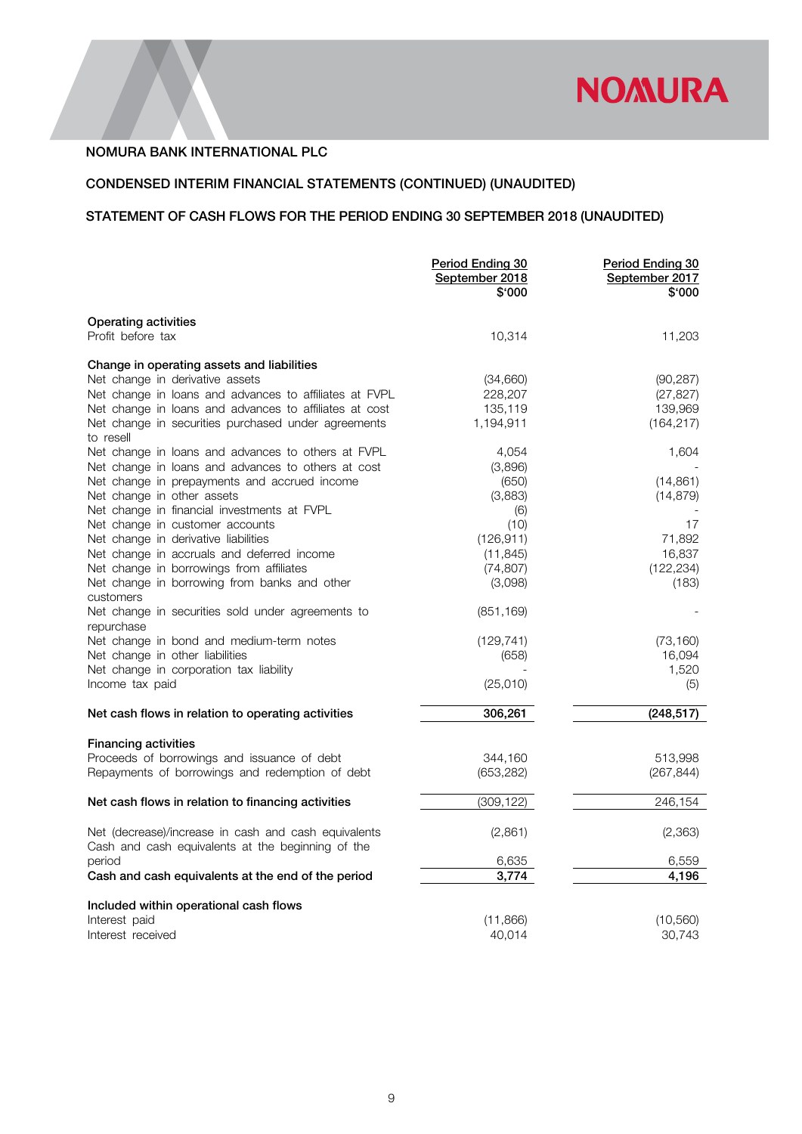

# CONDENSED INTERIM FINANCIAL STATEMENTS (CONTINUED) (UNAUDITED)

# STATEMENT OF CASH FLOWS FOR THE PERIOD ENDING 30 SEPTEMBER 2018 (UNAUDITED)

|                                                                                                           | Period Ending 30<br>September 2018<br>\$'000 | Period Ending 30<br>September 2017<br>\$'000 |
|-----------------------------------------------------------------------------------------------------------|----------------------------------------------|----------------------------------------------|
| Operating activities<br>Profit before tax                                                                 | 10,314                                       | 11,203                                       |
| Change in operating assets and liabilities                                                                |                                              |                                              |
| Net change in derivative assets                                                                           | (34,660)                                     | (90, 287)                                    |
| Net change in loans and advances to affiliates at FVPL                                                    | 228,207                                      | (27, 827)                                    |
| Net change in loans and advances to affiliates at cost                                                    | 135,119                                      | 139,969                                      |
| Net change in securities purchased under agreements                                                       | 1,194,911                                    | (164, 217)                                   |
| to resell                                                                                                 |                                              |                                              |
| Net change in loans and advances to others at FVPL                                                        | 4,054                                        | 1,604                                        |
| Net change in loans and advances to others at cost                                                        | (3,896)                                      |                                              |
| Net change in prepayments and accrued income                                                              | (650)                                        | (14, 861)                                    |
| Net change in other assets                                                                                | (3,883)                                      | (14, 879)                                    |
| Net change in financial investments at FVPL                                                               | (6)                                          |                                              |
| Net change in customer accounts<br>Net change in derivative liabilities                                   | (10)<br>(126, 911)                           | 17<br>71,892                                 |
| Net change in accruals and deferred income                                                                | (11, 845)                                    | 16,837                                       |
| Net change in borrowings from affiliates                                                                  | (74, 807)                                    | (122, 234)                                   |
| Net change in borrowing from banks and other                                                              | (3,098)                                      | (183)                                        |
| customers                                                                                                 |                                              |                                              |
| Net change in securities sold under agreements to                                                         | (851, 169)                                   |                                              |
| repurchase                                                                                                |                                              |                                              |
| Net change in bond and medium-term notes                                                                  | (129, 741)                                   | (73, 160)                                    |
| Net change in other liabilities<br>Net change in corporation tax liability                                | (658)                                        | 16,094<br>1,520                              |
| Income tax paid                                                                                           | (25,010)                                     | (5)                                          |
|                                                                                                           |                                              |                                              |
| Net cash flows in relation to operating activities                                                        | 306,261                                      | (248, 517)                                   |
| <b>Financing activities</b>                                                                               |                                              |                                              |
| Proceeds of borrowings and issuance of debt                                                               | 344,160                                      | 513,998                                      |
| Repayments of borrowings and redemption of debt                                                           | (653, 282)                                   | (267, 844)                                   |
|                                                                                                           |                                              |                                              |
| Net cash flows in relation to financing activities                                                        | (309, 122)                                   | 246,154                                      |
| Net (decrease)/increase in cash and cash equivalents<br>Cash and cash equivalents at the beginning of the | (2,861)                                      | (2,363)                                      |
| period                                                                                                    | 6,635                                        | 6,559                                        |
| Cash and cash equivalents at the end of the period                                                        | 3.774                                        | 4.196                                        |
| Included within operational cash flows                                                                    |                                              |                                              |
| Interest paid                                                                                             | (11, 866)                                    | (10, 560)                                    |
| Interest received                                                                                         | 40,014                                       | 30,743                                       |
|                                                                                                           |                                              |                                              |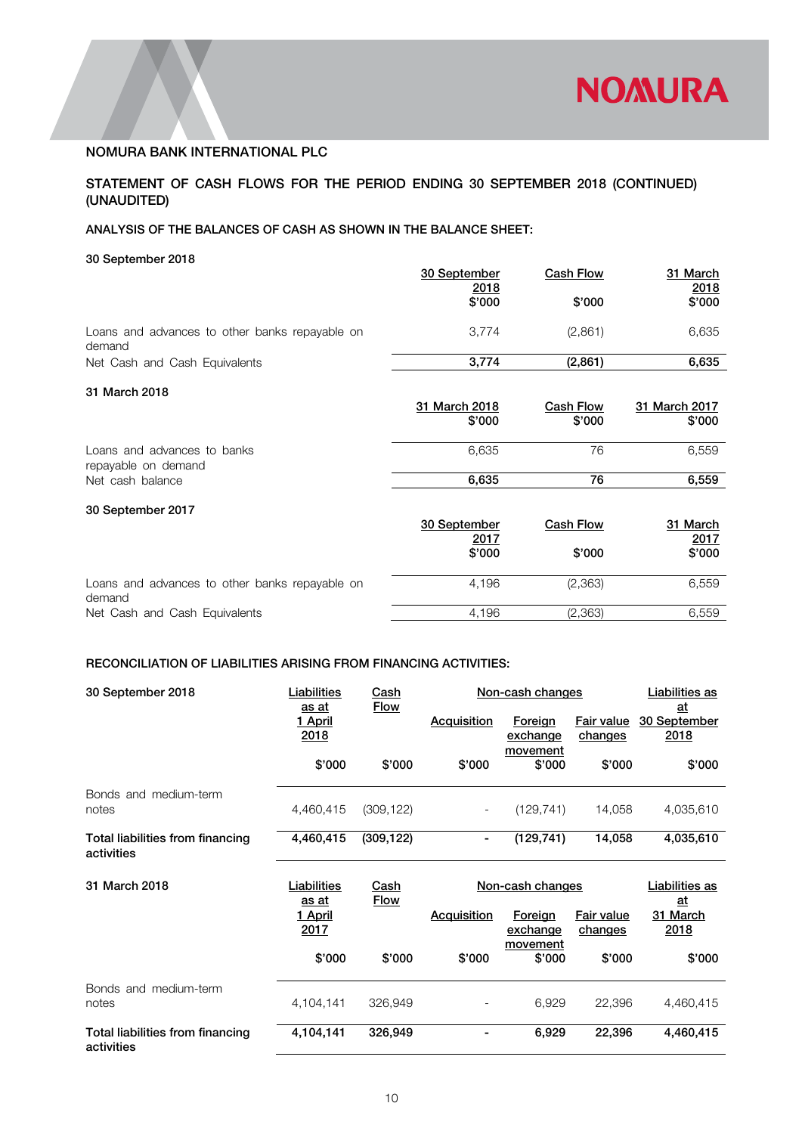

# STATEMENT OF CASH FLOWS FOR THE PERIOD ENDING 30 SEPTEMBER 2018 (CONTINUED) (UNAUDITED)

# ANALYSIS OF THE BALANCES OF CASH AS SHOWN IN THE BALANCE SHEET:

30 September 2018

|                                                                        | 30 September<br>2018<br>\$'000        | <b>Cash Flow</b><br>\$'000 | 31 March<br>2018<br>\$'000        |
|------------------------------------------------------------------------|---------------------------------------|----------------------------|-----------------------------------|
| Loans and advances to other banks repayable on<br>demand               | 3,774                                 | (2,861)                    | 6,635                             |
| Net Cash and Cash Equivalents                                          | 3,774                                 | (2,861)                    | 6,635                             |
| 31 March 2018                                                          | 31 March 2018<br>\$'000               | <b>Cash Flow</b><br>\$'000 | 31 March 2017<br>\$'000           |
| Loans and advances to banks<br>repayable on demand<br>Net cash balance | 6,635<br>6,635                        | 76<br>76                   | 6,559<br>6,559                    |
| 30 September 2017                                                      | 30 September<br><u>2017</u><br>\$'000 | Cash Flow<br>\$'000        | 31 March<br><u>2017</u><br>\$'000 |
| Loans and advances to other banks repayable on<br>demand               | 4,196                                 | (2, 363)                   | 6,559                             |
| Net Cash and Cash Equivalents                                          | 4,196                                 | (2,363)                    | 6,559                             |

# RECONCILIATION OF LIABILITIES ARISING FROM FINANCING ACTIVITIES:

| 30 September 2018                              | Liabilities<br><u>as at</u>            | Cash<br><b>Flow</b> | Non-cash changes         | Liabilities as<br>at |                                     |                        |
|------------------------------------------------|----------------------------------------|---------------------|--------------------------|----------------------|-------------------------------------|------------------------|
|                                                | 1 April<br>2018                        |                     | <b>Acquisition</b>       | Foreign<br>exchange  | <b>Fair value</b><br><u>changes</u> | 30 September<br>2018   |
|                                                | \$'000                                 | \$'000              | \$'000                   | movement<br>\$'000   | \$'000                              | \$'000                 |
| Bonds and medium-term<br>notes                 | 4,460,415                              | (309, 122)          | $\overline{\phantom{a}}$ | (129, 741)           | 14,058                              | 4,035,610              |
| Total liabilities from financing<br>activities | 4,460,415                              | (309, 122)          | ۰                        | (129, 741)           | 14,058                              | 4,035,610              |
|                                                |                                        |                     | Non-cash changes         |                      |                                     | Liabilities as         |
| 31 March 2018                                  | Liabilities                            | <u>Cash</u>         |                          |                      |                                     |                        |
|                                                | <u>as at</u><br><u>1 April</u><br>2017 | <b>Flow</b>         | <b>Acquisition</b>       | Foreign<br>exchange  | Fair value<br>changes               | at<br>31 March<br>2018 |
|                                                | \$'000                                 | \$'000              | \$'000                   | movement<br>\$'000   | \$'000                              | \$'000                 |
| Bonds and medium-term<br>notes                 | 4,104,141                              | 326,949             |                          | 6,929                | 22,396                              | 4,460,415              |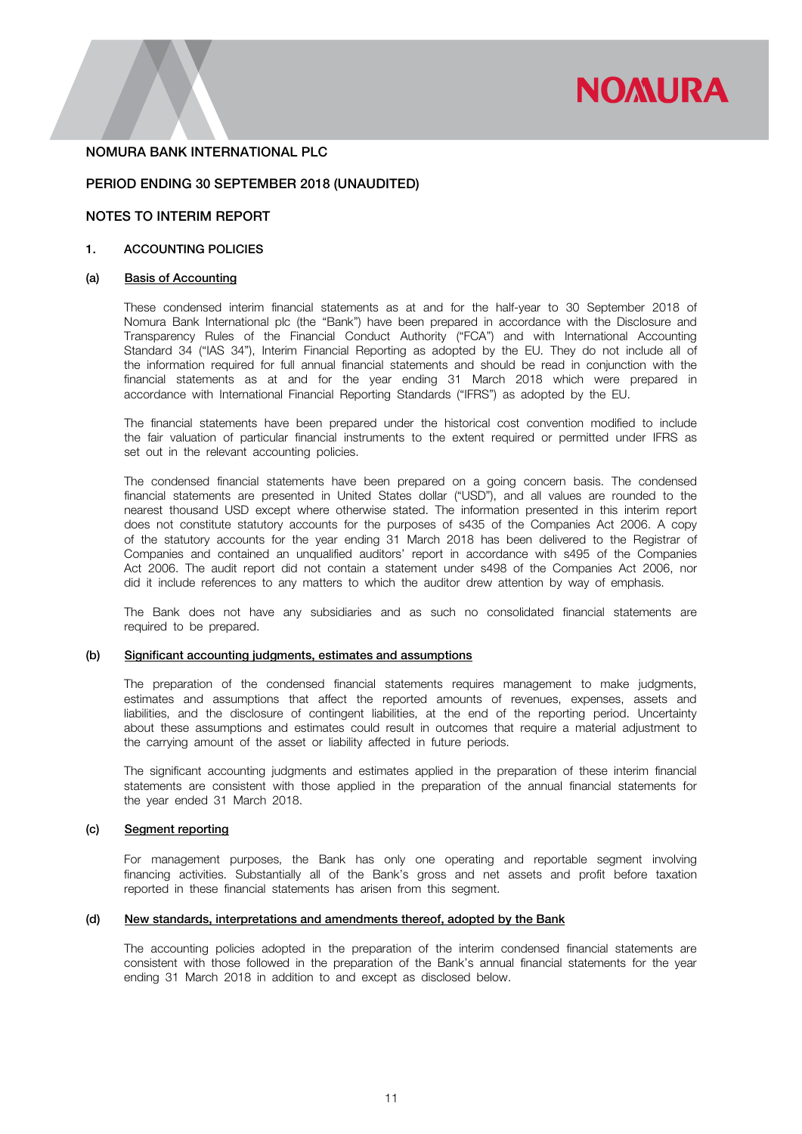

### PERIOD ENDING 30 SEPTEMBER 2018 (UNAUDITED)

# NOTES TO INTERIM REPORT

### 1. ACCOUNTING POLICIES

### (a) Basis of Accounting

These condensed interim financial statements as at and for the half-year to 30 September 2018 of Nomura Bank International plc (the "Bank") have been prepared in accordance with the Disclosure and Transparency Rules of the Financial Conduct Authority ("FCA") and with International Accounting Standard 34 ("IAS 34"), Interim Financial Reporting as adopted by the EU. They do not include all of the information required for full annual financial statements and should be read in conjunction with the financial statements as at and for the year ending 31 March 2018 which were prepared in accordance with International Financial Reporting Standards ("IFRS") as adopted by the EU.

The financial statements have been prepared under the historical cost convention modified to include the fair valuation of particular financial instruments to the extent required or permitted under IFRS as set out in the relevant accounting policies.

The condensed financial statements have been prepared on a going concern basis. The condensed financial statements are presented in United States dollar ("USD"), and all values are rounded to the nearest thousand USD except where otherwise stated. The information presented in this interim report does not constitute statutory accounts for the purposes of s435 of the Companies Act 2006. A copy of the statutory accounts for the year ending 31 March 2018 has been delivered to the Registrar of Companies and contained an unqualified auditors' report in accordance with s495 of the Companies Act 2006. The audit report did not contain a statement under s498 of the Companies Act 2006, nor did it include references to any matters to which the auditor drew attention by way of emphasis.

The Bank does not have any subsidiaries and as such no consolidated financial statements are required to be prepared.

# (b) Significant accounting judgments, estimates and assumptions

The preparation of the condensed financial statements requires management to make judgments, estimates and assumptions that affect the reported amounts of revenues, expenses, assets and liabilities, and the disclosure of contingent liabilities, at the end of the reporting period. Uncertainty about these assumptions and estimates could result in outcomes that require a material adjustment to the carrying amount of the asset or liability affected in future periods.

The significant accounting judgments and estimates applied in the preparation of these interim financial statements are consistent with those applied in the preparation of the annual financial statements for the year ended 31 March 2018.

### (c) Segment reporting

For management purposes, the Bank has only one operating and reportable segment involving financing activities. Substantially all of the Bank's gross and net assets and profit before taxation reported in these financial statements has arisen from this segment.

# (d) New standards, interpretations and amendments thereof, adopted by the Bank

The accounting policies adopted in the preparation of the interim condensed financial statements are consistent with those followed in the preparation of the Bank's annual financial statements for the year ending 31 March 2018 in addition to and except as disclosed below.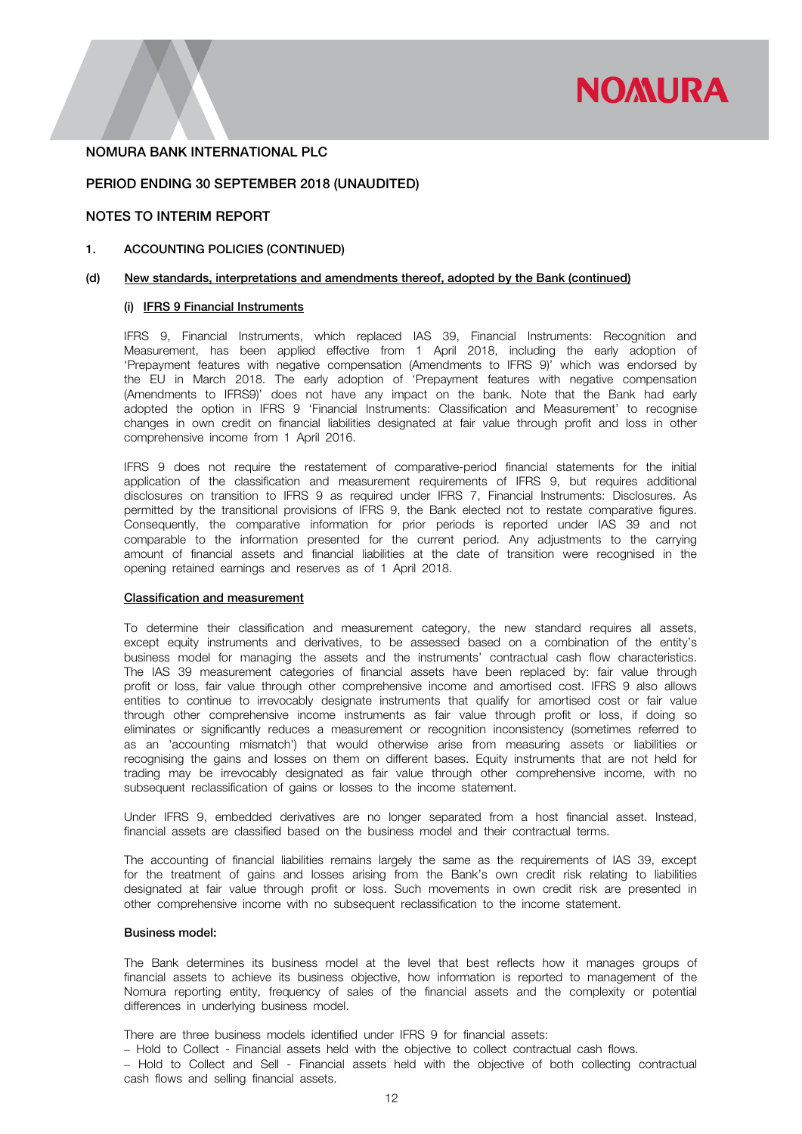

### PERIOD ENDING 30 SEPTEMBER 2018 (UNAUDITED)

# NOTES TO INTERIM REPORT

#### 1. ACCOUNTING POLICIES (CONTINUED)

#### (d) New standards, interpretations and amendments thereof, adopted by the Bank (continued)

### (i) IFRS 9 Financial Instruments

IFRS 9, Financial Instruments, which replaced IAS 39, Financial Instruments: Recognition and Measurement, has been applied effective from 1 April 2018, including the early adoption of 'Prepayment features with negative compensation (Amendments to IFRS 9)' which was endorsed by the EU in March 2018. The early adoption of 'Prepayment features with negative compensation (Amendments to IFRS9)' does not have any impact on the bank. Note that the Bank had early adopted the option in IFRS 9 'Financial Instruments: Classification and Measurement' to recognise changes in own credit on financial liabilities designated at fair value through profit and loss in other comprehensive income from 1 April 2016.

IFRS 9 does not require the restatement of comparative-period financial statements for the initial application of the classification and measurement requirements of IFRS 9, but requires additional disclosures on transition to IFRS 9 as required under IFRS 7, Financial Instruments: Disclosures. As permitted by the transitional provisions of IFRS 9, the Bank elected not to restate comparative figures. Consequently, the comparative information for prior periods is reported under IAS 39 and not comparable to the information presented for the current period. Any adjustments to the carrying amount of financial assets and financial liabilities at the date of transition were recognised in the opening retained earnings and reserves as of 1 April 2018.

### Classification and measurement

To determine their classification and measurement category, the new standard requires all assets, except equity instruments and derivatives, to be assessed based on a combination of the entity's business model for managing the assets and the instruments' contractual cash flow characteristics. The IAS 39 measurement categories of financial assets have been replaced by: fair value through profit or loss, fair value through other comprehensive income and amortised cost. IFRS 9 also allows entities to continue to irrevocably designate instruments that qualify for amortised cost or fair value through other comprehensive income instruments as fair value through profit or loss, if doing so eliminates or significantly reduces a measurement or recognition inconsistency (sometimes referred to as an 'accounting mismatch') that would otherwise arise from measuring assets or liabilities or recognising the gains and losses on them on different bases. Equity instruments that are not held for trading may be irrevocably designated as fair value through other comprehensive income, with no subsequent reclassification of gains or losses to the income statement.

Under IFRS 9, embedded derivatives are no longer separated from a host financial asset. Instead, financial assets are classified based on the business model and their contractual terms.

The accounting of financial liabilities remains largely the same as the requirements of IAS 39, except for the treatment of gains and losses arising from the Bank's own credit risk relating to liabilities designated at fair value through profit or loss. Such movements in own credit risk are presented in other comprehensive income with no subsequent reclassification to the income statement.

#### Business model:

The Bank determines its business model at the level that best reflects how it manages groups of financial assets to achieve its business objective, how information is reported to management of the Nomura reporting entity, frequency of sales of the financial assets and the complexity or potential differences in underlying business model.

There are three business models identified under IFRS 9 for financial assets:

‒ Hold to Collect - Financial assets held with the objective to collect contractual cash flows.

‒ Hold to Collect and Sell - Financial assets held with the objective of both collecting contractual cash flows and selling financial assets.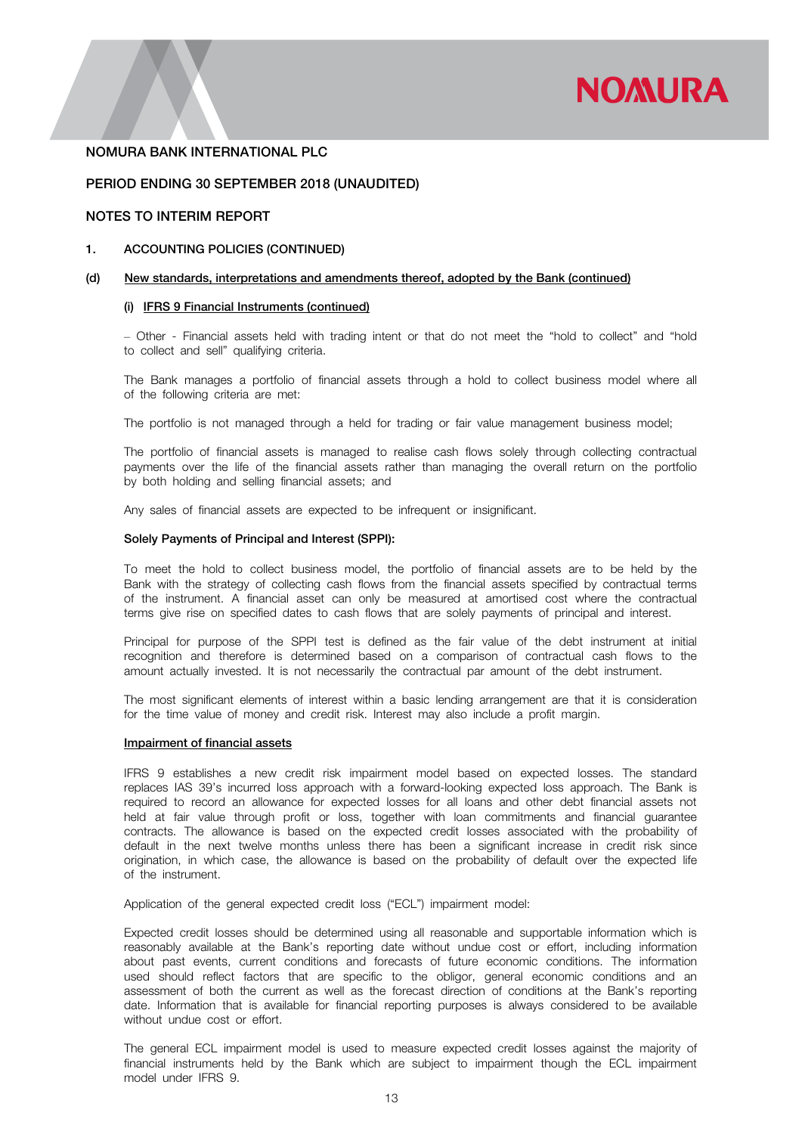

### PERIOD ENDING 30 SEPTEMBER 2018 (UNAUDITED)

# NOTES TO INTERIM REPORT

#### 1. ACCOUNTING POLICIES (CONTINUED)

#### (d) New standards, interpretations and amendments thereof, adopted by the Bank (continued)

### (i) IFRS 9 Financial Instruments (continued)

‒ Other - Financial assets held with trading intent or that do not meet the "hold to collect" and "hold to collect and sell" qualifying criteria.

The Bank manages a portfolio of financial assets through a hold to collect business model where all of the following criteria are met:

The portfolio is not managed through a held for trading or fair value management business model;

The portfolio of financial assets is managed to realise cash flows solely through collecting contractual payments over the life of the financial assets rather than managing the overall return on the portfolio by both holding and selling financial assets; and

Any sales of financial assets are expected to be infrequent or insignificant.

#### Solely Payments of Principal and Interest (SPPI):

To meet the hold to collect business model, the portfolio of financial assets are to be held by the Bank with the strategy of collecting cash flows from the financial assets specified by contractual terms of the instrument. A financial asset can only be measured at amortised cost where the contractual terms give rise on specified dates to cash flows that are solely payments of principal and interest.

Principal for purpose of the SPPI test is defined as the fair value of the debt instrument at initial recognition and therefore is determined based on a comparison of contractual cash flows to the amount actually invested. It is not necessarily the contractual par amount of the debt instrument.

The most significant elements of interest within a basic lending arrangement are that it is consideration for the time value of money and credit risk. Interest may also include a profit margin.

#### Impairment of financial assets

IFRS 9 establishes a new credit risk impairment model based on expected losses. The standard replaces IAS 39's incurred loss approach with a forward-looking expected loss approach. The Bank is required to record an allowance for expected losses for all loans and other debt financial assets not held at fair value through profit or loss, together with loan commitments and financial guarantee contracts. The allowance is based on the expected credit losses associated with the probability of default in the next twelve months unless there has been a significant increase in credit risk since origination, in which case, the allowance is based on the probability of default over the expected life of the instrument.

Application of the general expected credit loss ("ECL") impairment model:

Expected credit losses should be determined using all reasonable and supportable information which is reasonably available at the Bank's reporting date without undue cost or effort, including information about past events, current conditions and forecasts of future economic conditions. The information used should reflect factors that are specific to the obligor, general economic conditions and an assessment of both the current as well as the forecast direction of conditions at the Bank's reporting date. Information that is available for financial reporting purposes is always considered to be available without undue cost or effort.

The general ECL impairment model is used to measure expected credit losses against the majority of financial instruments held by the Bank which are subject to impairment though the ECL impairment model under IFRS 9.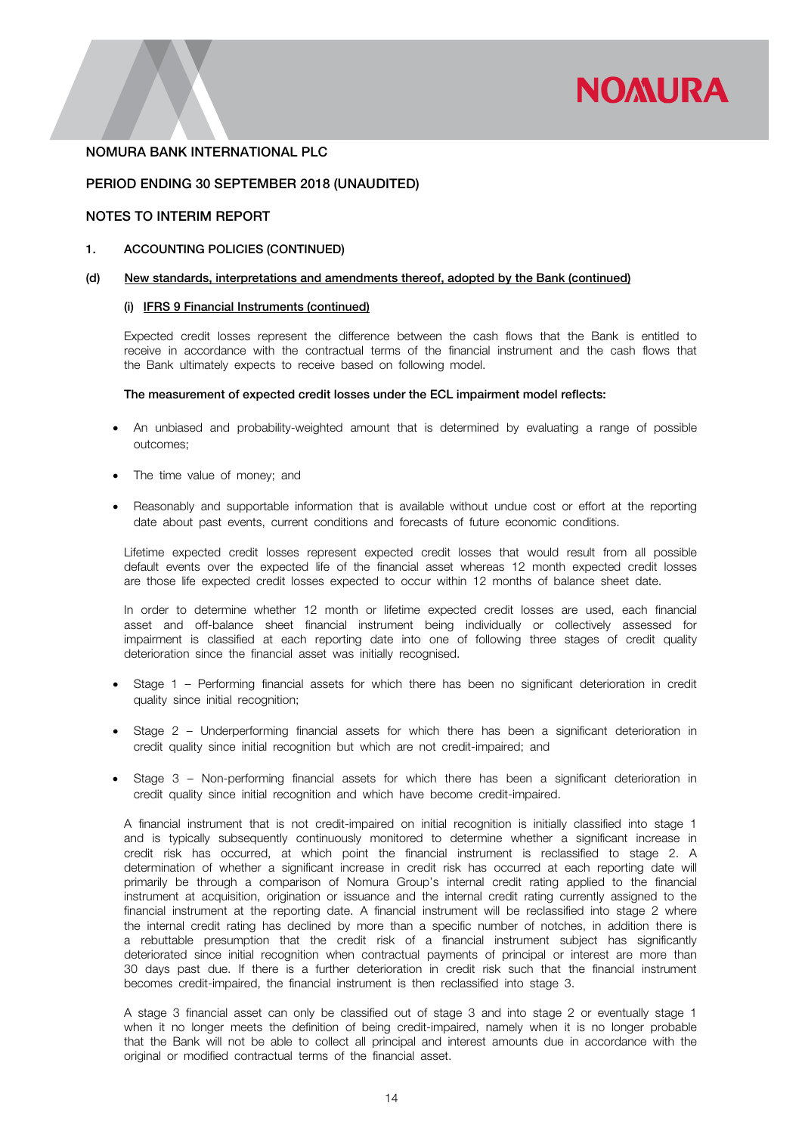

# PERIOD ENDING 30 SEPTEMBER 2018 (UNAUDITED)

# NOTES TO INTERIM REPORT

### 1. ACCOUNTING POLICIES (CONTINUED)

#### (d) New standards, interpretations and amendments thereof, adopted by the Bank (continued)

### (i) IFRS 9 Financial Instruments (continued)

Expected credit losses represent the difference between the cash flows that the Bank is entitled to receive in accordance with the contractual terms of the financial instrument and the cash flows that the Bank ultimately expects to receive based on following model.

#### The measurement of expected credit losses under the ECL impairment model reflects:

- An unbiased and probability-weighted amount that is determined by evaluating a range of possible outcomes;
- The time value of money; and
- Reasonably and supportable information that is available without undue cost or effort at the reporting date about past events, current conditions and forecasts of future economic conditions.

Lifetime expected credit losses represent expected credit losses that would result from all possible default events over the expected life of the financial asset whereas 12 month expected credit losses are those life expected credit losses expected to occur within 12 months of balance sheet date.

In order to determine whether 12 month or lifetime expected credit losses are used, each financial asset and off-balance sheet financial instrument being individually or collectively assessed for impairment is classified at each reporting date into one of following three stages of credit quality deterioration since the financial asset was initially recognised.

- Stage 1 Performing financial assets for which there has been no significant deterioration in credit quality since initial recognition;
- Stage 2 Underperforming financial assets for which there has been a significant deterioration in credit quality since initial recognition but which are not credit-impaired; and
- Stage 3 Non-performing financial assets for which there has been a significant deterioration in credit quality since initial recognition and which have become credit-impaired.

A financial instrument that is not credit-impaired on initial recognition is initially classified into stage 1 and is typically subsequently continuously monitored to determine whether a significant increase in credit risk has occurred, at which point the financial instrument is reclassified to stage 2. A determination of whether a significant increase in credit risk has occurred at each reporting date will primarily be through a comparison of Nomura Group's internal credit rating applied to the financial instrument at acquisition, origination or issuance and the internal credit rating currently assigned to the financial instrument at the reporting date. A financial instrument will be reclassified into stage 2 where the internal credit rating has declined by more than a specific number of notches, in addition there is a rebuttable presumption that the credit risk of a financial instrument subject has significantly deteriorated since initial recognition when contractual payments of principal or interest are more than 30 days past due. If there is a further deterioration in credit risk such that the financial instrument becomes credit-impaired, the financial instrument is then reclassified into stage 3.

A stage 3 financial asset can only be classified out of stage 3 and into stage 2 or eventually stage 1 when it no longer meets the definition of being credit-impaired, namely when it is no longer probable that the Bank will not be able to collect all principal and interest amounts due in accordance with the original or modified contractual terms of the financial asset.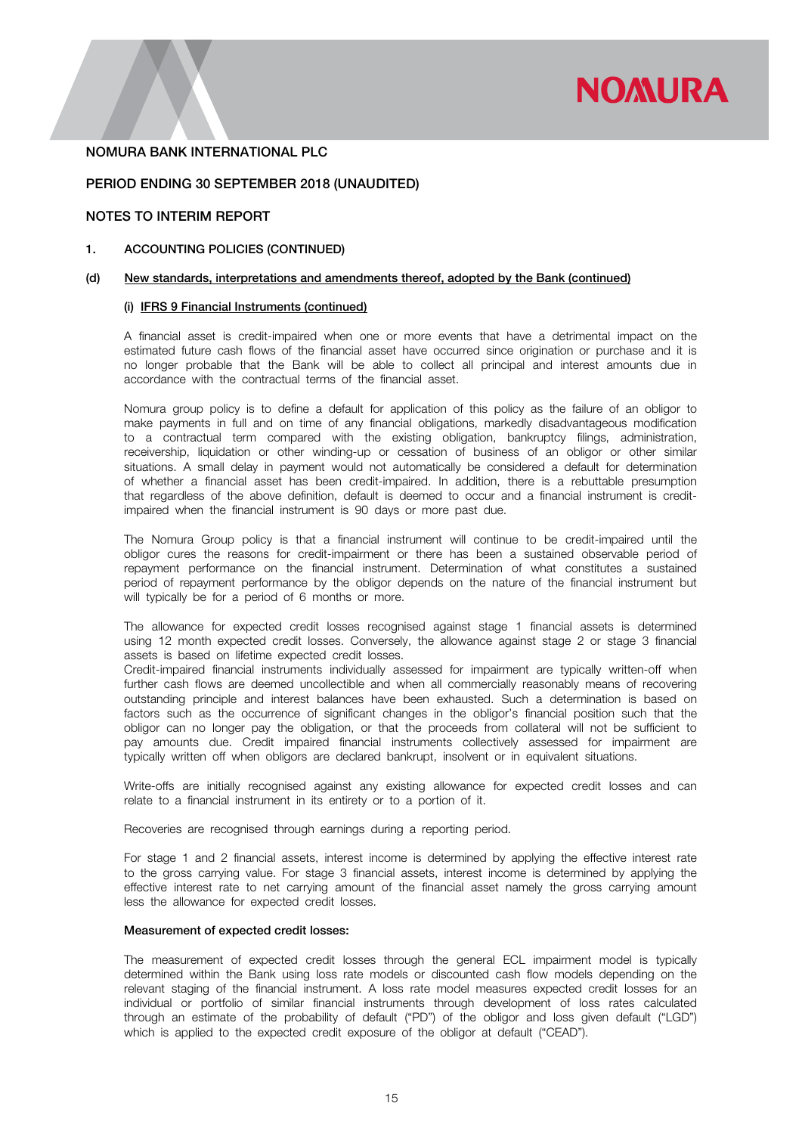

### PERIOD ENDING 30 SEPTEMBER 2018 (UNAUDITED)

# NOTES TO INTERIM REPORT

#### 1. ACCOUNTING POLICIES (CONTINUED)

#### (d) New standards, interpretations and amendments thereof, adopted by the Bank (continued)

#### (i) IFRS 9 Financial Instruments (continued)

A financial asset is credit-impaired when one or more events that have a detrimental impact on the estimated future cash flows of the financial asset have occurred since origination or purchase and it is no longer probable that the Bank will be able to collect all principal and interest amounts due in accordance with the contractual terms of the financial asset.

Nomura group policy is to define a default for application of this policy as the failure of an obligor to make payments in full and on time of any financial obligations, markedly disadvantageous modification to a contractual term compared with the existing obligation, bankruptcy filings, administration, receivership, liquidation or other winding-up or cessation of business of an obligor or other similar situations. A small delay in payment would not automatically be considered a default for determination of whether a financial asset has been credit-impaired. In addition, there is a rebuttable presumption that regardless of the above definition, default is deemed to occur and a financial instrument is creditimpaired when the financial instrument is 90 days or more past due.

The Nomura Group policy is that a financial instrument will continue to be credit-impaired until the obligor cures the reasons for credit-impairment or there has been a sustained observable period of repayment performance on the financial instrument. Determination of what constitutes a sustained period of repayment performance by the obligor depends on the nature of the financial instrument but will typically be for a period of 6 months or more.

The allowance for expected credit losses recognised against stage 1 financial assets is determined using 12 month expected credit losses. Conversely, the allowance against stage 2 or stage 3 financial assets is based on lifetime expected credit losses.

Credit-impaired financial instruments individually assessed for impairment are typically written-off when further cash flows are deemed uncollectible and when all commercially reasonably means of recovering outstanding principle and interest balances have been exhausted. Such a determination is based on factors such as the occurrence of significant changes in the obligor's financial position such that the obligor can no longer pay the obligation, or that the proceeds from collateral will not be sufficient to pay amounts due. Credit impaired financial instruments collectively assessed for impairment are typically written off when obligors are declared bankrupt, insolvent or in equivalent situations.

Write-offs are initially recognised against any existing allowance for expected credit losses and can relate to a financial instrument in its entirety or to a portion of it.

Recoveries are recognised through earnings during a reporting period.

For stage 1 and 2 financial assets, interest income is determined by applying the effective interest rate to the gross carrying value. For stage 3 financial assets, interest income is determined by applying the effective interest rate to net carrying amount of the financial asset namely the gross carrying amount less the allowance for expected credit losses.

#### Measurement of expected credit losses:

The measurement of expected credit losses through the general ECL impairment model is typically determined within the Bank using loss rate models or discounted cash flow models depending on the relevant staging of the financial instrument. A loss rate model measures expected credit losses for an individual or portfolio of similar financial instruments through development of loss rates calculated through an estimate of the probability of default ("PD") of the obligor and loss given default ("LGD") which is applied to the expected credit exposure of the obligor at default ("CEAD").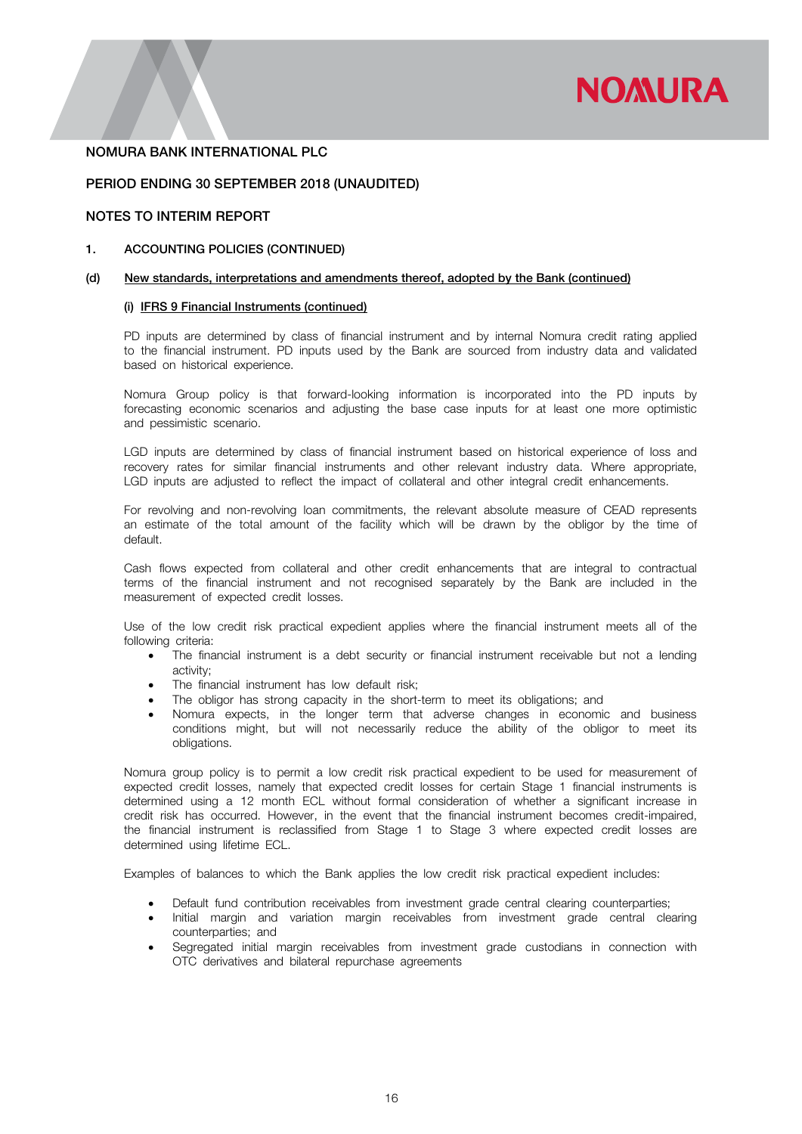

### PERIOD ENDING 30 SEPTEMBER 2018 (UNAUDITED)

# NOTES TO INTERIM REPORT

#### 1. ACCOUNTING POLICIES (CONTINUED)

#### (d) New standards, interpretations and amendments thereof, adopted by the Bank (continued)

#### (i) IFRS 9 Financial Instruments (continued)

PD inputs are determined by class of financial instrument and by internal Nomura credit rating applied to the financial instrument. PD inputs used by the Bank are sourced from industry data and validated based on historical experience.

Nomura Group policy is that forward-looking information is incorporated into the PD inputs by forecasting economic scenarios and adjusting the base case inputs for at least one more optimistic and pessimistic scenario.

LGD inputs are determined by class of financial instrument based on historical experience of loss and recovery rates for similar financial instruments and other relevant industry data. Where appropriate, LGD inputs are adjusted to reflect the impact of collateral and other integral credit enhancements.

For revolving and non-revolving loan commitments, the relevant absolute measure of CEAD represents an estimate of the total amount of the facility which will be drawn by the obligor by the time of default.

Cash flows expected from collateral and other credit enhancements that are integral to contractual terms of the financial instrument and not recognised separately by the Bank are included in the measurement of expected credit losses.

Use of the low credit risk practical expedient applies where the financial instrument meets all of the following criteria:

- The financial instrument is a debt security or financial instrument receivable but not a lending activity;
- The financial instrument has low default risk;
- The obligor has strong capacity in the short-term to meet its obligations; and
- Nomura expects, in the longer term that adverse changes in economic and business conditions might, but will not necessarily reduce the ability of the obligor to meet its obligations.

Nomura group policy is to permit a low credit risk practical expedient to be used for measurement of expected credit losses, namely that expected credit losses for certain Stage 1 financial instruments is determined using a 12 month ECL without formal consideration of whether a significant increase in credit risk has occurred. However, in the event that the financial instrument becomes credit-impaired, the financial instrument is reclassified from Stage 1 to Stage 3 where expected credit losses are determined using lifetime ECL.

Examples of balances to which the Bank applies the low credit risk practical expedient includes:

- Default fund contribution receivables from investment grade central clearing counterparties;
- Initial margin and variation margin receivables from investment grade central clearing counterparties; and
- Segregated initial margin receivables from investment grade custodians in connection with OTC derivatives and bilateral repurchase agreements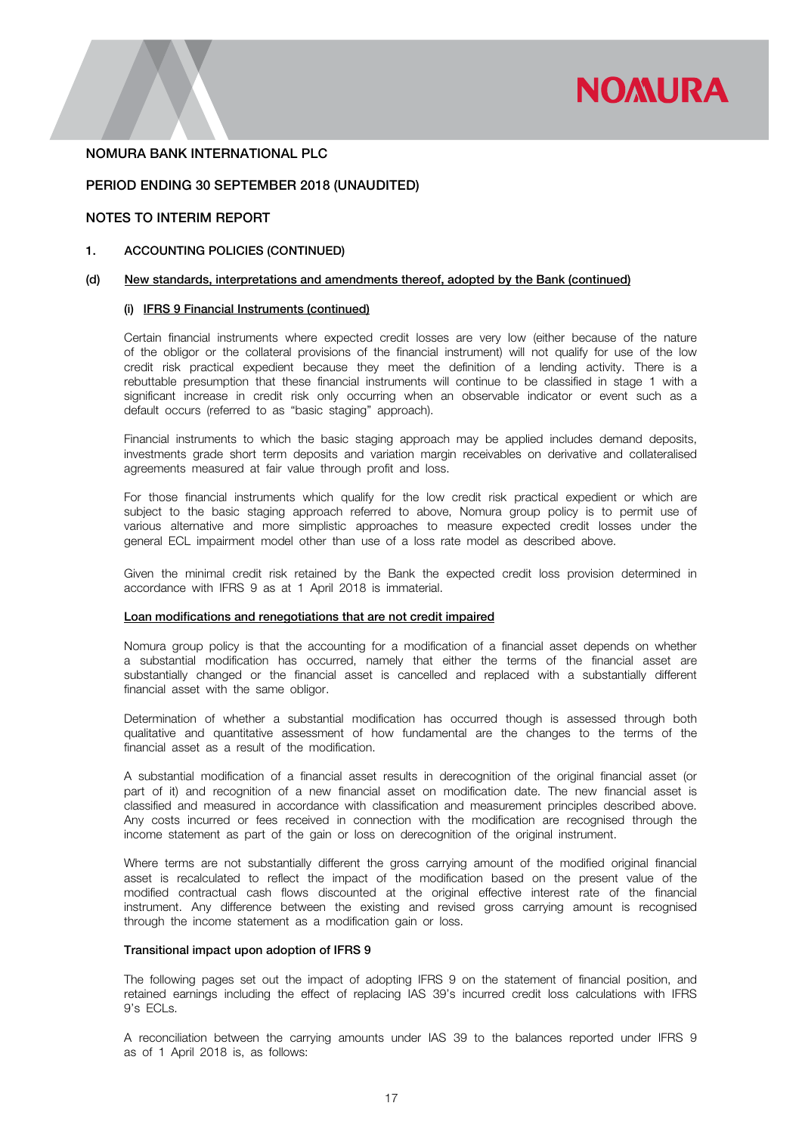

### PERIOD ENDING 30 SEPTEMBER 2018 (UNAUDITED)

### NOTES TO INTERIM REPORT

### 1. ACCOUNTING POLICIES (CONTINUED)

#### (d) New standards, interpretations and amendments thereof, adopted by the Bank (continued)

#### (i) IFRS 9 Financial Instruments (continued)

Certain financial instruments where expected credit losses are very low (either because of the nature of the obligor or the collateral provisions of the financial instrument) will not qualify for use of the low credit risk practical expedient because they meet the definition of a lending activity. There is a rebuttable presumption that these financial instruments will continue to be classified in stage 1 with a significant increase in credit risk only occurring when an observable indicator or event such as a default occurs (referred to as "basic staging" approach).

Financial instruments to which the basic staging approach may be applied includes demand deposits, investments grade short term deposits and variation margin receivables on derivative and collateralised agreements measured at fair value through profit and loss.

For those financial instruments which qualify for the low credit risk practical expedient or which are subject to the basic staging approach referred to above, Nomura group policy is to permit use of various alternative and more simplistic approaches to measure expected credit losses under the general ECL impairment model other than use of a loss rate model as described above.

Given the minimal credit risk retained by the Bank the expected credit loss provision determined in accordance with IFRS 9 as at 1 April 2018 is immaterial.

### Loan modifications and renegotiations that are not credit impaired

Nomura group policy is that the accounting for a modification of a financial asset depends on whether a substantial modification has occurred, namely that either the terms of the financial asset are substantially changed or the financial asset is cancelled and replaced with a substantially different financial asset with the same obligor.

Determination of whether a substantial modification has occurred though is assessed through both qualitative and quantitative assessment of how fundamental are the changes to the terms of the financial asset as a result of the modification.

A substantial modification of a financial asset results in derecognition of the original financial asset (or part of it) and recognition of a new financial asset on modification date. The new financial asset is classified and measured in accordance with classification and measurement principles described above. Any costs incurred or fees received in connection with the modification are recognised through the income statement as part of the gain or loss on derecognition of the original instrument.

Where terms are not substantially different the gross carrying amount of the modified original financial asset is recalculated to reflect the impact of the modification based on the present value of the modified contractual cash flows discounted at the original effective interest rate of the financial instrument. Any difference between the existing and revised gross carrying amount is recognised through the income statement as a modification gain or loss.

### Transitional impact upon adoption of IFRS 9

The following pages set out the impact of adopting IFRS 9 on the statement of financial position, and retained earnings including the effect of replacing IAS 39's incurred credit loss calculations with IFRS 9's ECLs.

A reconciliation between the carrying amounts under IAS 39 to the balances reported under IFRS 9 as of 1 April 2018 is, as follows: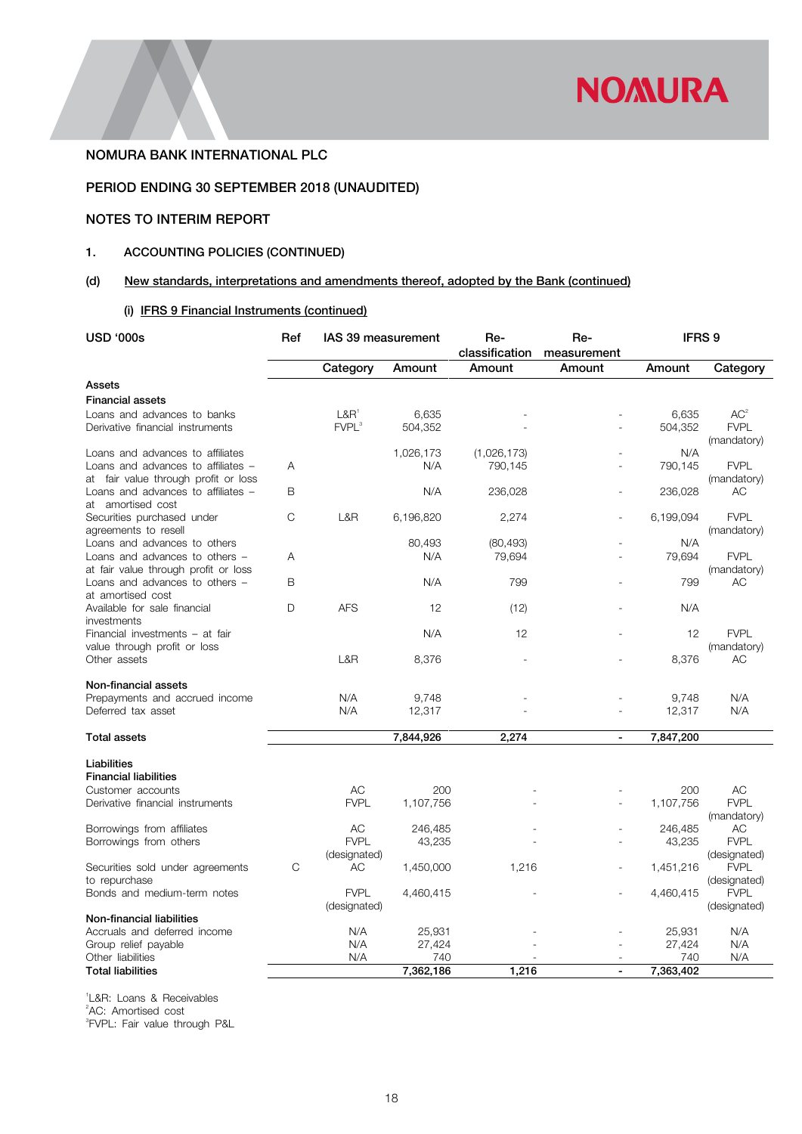

# PERIOD ENDING 30 SEPTEMBER 2018 (UNAUDITED)

# NOTES TO INTERIM REPORT

# 1. ACCOUNTING POLICIES (CONTINUED)

# (d) New standards, interpretations and amendments thereof, adopted by the Bank (continued)

# (i) IFRS 9 Financial Instruments (continued)

| <b>USD '000s</b>                                                           | Ref | IAS 39 measurement                    |                  | Re-<br>classification | Re-<br>measurement | IFRS <sub>9</sub> |                                |
|----------------------------------------------------------------------------|-----|---------------------------------------|------------------|-----------------------|--------------------|-------------------|--------------------------------|
|                                                                            |     | Category                              | Amount           | Amount                | Amount             | Amount            | Category                       |
| Assets                                                                     |     |                                       |                  |                       |                    |                   |                                |
| <b>Financial assets</b>                                                    |     |                                       |                  |                       |                    |                   |                                |
| Loans and advances to banks<br>Derivative financial instruments            |     | L&R <sup>1</sup><br>FVPL <sup>3</sup> | 6,635<br>504,352 |                       |                    | 6,635<br>504,352  | AC <sup>2</sup><br><b>FVPL</b> |
| Loans and advances to affiliates                                           |     |                                       | 1,026,173        | (1,026,173)           |                    | N/A               | (mandatory)                    |
| Loans and advances to affiliates -<br>at fair value through profit or loss | A   |                                       | N/A              | 790,145               |                    | 790,145           | <b>FVPL</b><br>(mandatory)     |
| Loans and advances to affiliates -<br>at amortised cost                    | B   |                                       | N/A              | 236,028               |                    | 236,028           | AC                             |
| Securities purchased under<br>agreements to resell                         | C   | L&R                                   | 6,196,820        | 2,274                 |                    | 6,199,094         | <b>FVPL</b><br>(mandatory)     |
| Loans and advances to others                                               |     |                                       | 80,493           | (80, 493)             |                    | N/A               |                                |
| Loans and advances to others -<br>at fair value through profit or loss     | Α   |                                       | N/A              | 79,694                |                    | 79,694            | <b>FVPL</b><br>(mandatory)     |
| Loans and advances to others -<br>at amortised cost                        | B   |                                       | N/A              | 799                   |                    | 799               | АC                             |
| Available for sale financial<br>investments                                | D   | <b>AFS</b>                            | 12               | (12)                  |                    | N/A               |                                |
| Financial investments - at fair<br>value through profit or loss            |     |                                       | N/A              | 12                    |                    | 12                | <b>FVPL</b><br>(mandatory)     |
| Other assets                                                               |     | L&R                                   | 8,376            |                       |                    | 8,376             | АC                             |
| Non-financial assets                                                       |     |                                       |                  |                       |                    |                   |                                |
| Prepayments and accrued income                                             |     | N/A                                   | 9,748            |                       |                    | 9,748             | N/A                            |
| Deferred tax asset                                                         |     | N/A                                   | 12,317           |                       |                    | 12,317            | N/A                            |
| <b>Total assets</b>                                                        |     |                                       | 7,844,926        | 2,274                 | $\blacksquare$     | 7,847,200         |                                |
| Liabilities                                                                |     |                                       |                  |                       |                    |                   |                                |
| <b>Financial liabilities</b>                                               |     |                                       |                  |                       |                    |                   |                                |
| Customer accounts                                                          |     | AC                                    | 200              |                       |                    | 200               | AC                             |
| Derivative financial instruments                                           |     | <b>FVPL</b>                           | 1,107,756        |                       |                    | 1,107,756         | <b>FVPL</b><br>(mandatory)     |
| Borrowings from affiliates                                                 |     | AC                                    | 246,485          |                       |                    | 246,485           | AC                             |
| Borrowings from others                                                     |     | <b>FVPL</b><br>(designated)           | 43,235           |                       |                    | 43,235            | <b>FVPL</b><br>(designated)    |
| Securities sold under agreements<br>to repurchase                          | C   | AC                                    | 1,450,000        | 1,216                 | ۰                  | 1,451,216         | <b>FVPL</b><br>(designated)    |
| Bonds and medium-term notes                                                |     | <b>FVPL</b><br>(designated)           | 4,460,415        |                       |                    | 4,460,415         | <b>FVPL</b><br>(designated)    |
| Non-financial liabilities                                                  |     |                                       |                  |                       |                    |                   |                                |
| Accruals and deferred income                                               |     | N/A                                   | 25,931           |                       |                    | 25,931            | N/A                            |
| Group relief payable                                                       |     | N/A                                   | 27,424           |                       |                    | 27,424            | N/A                            |
| Other liabilities<br><b>Total liabilities</b>                              |     | N/A                                   | 740<br>7,362,186 | 1,216                 | L,                 | 740<br>7,363,402  | N/A                            |
|                                                                            |     |                                       |                  |                       |                    |                   |                                |

1 L&R: Loans & Receivables 2 AC: Amortised cost 3 FVPL: Fair value through P&L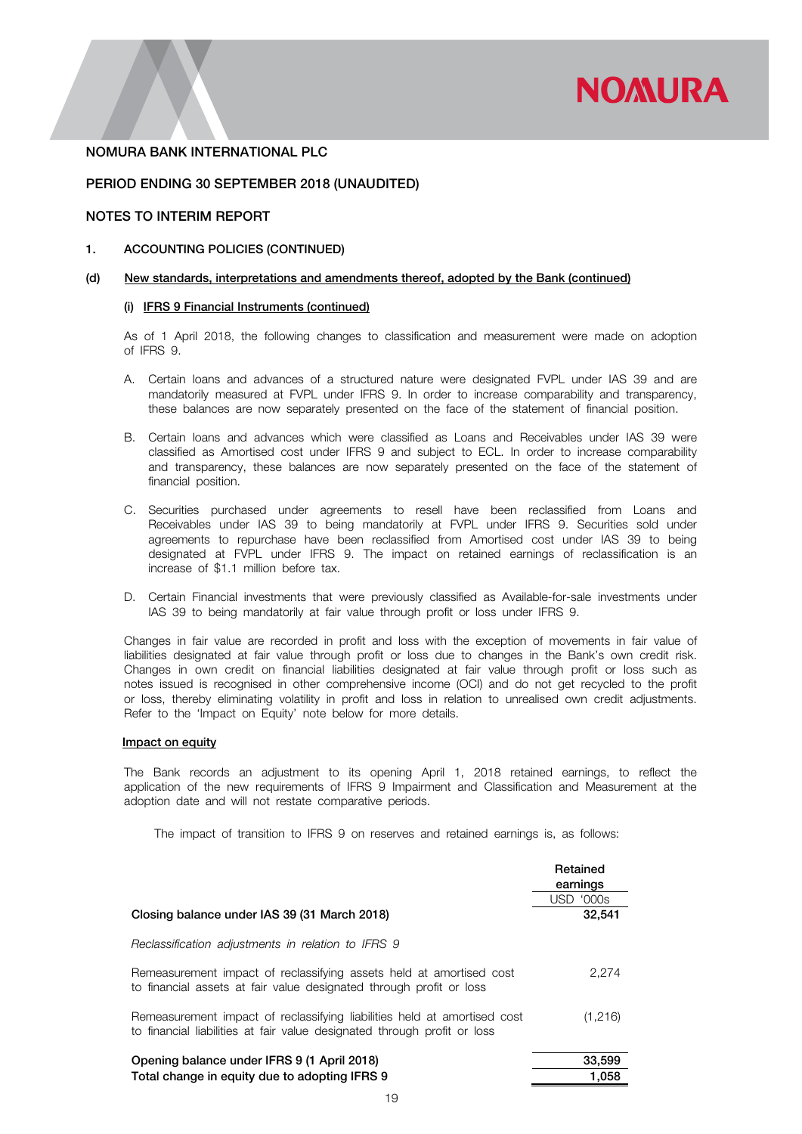

### PERIOD ENDING 30 SEPTEMBER 2018 (UNAUDITED)

# NOTES TO INTERIM REPORT

#### 1. ACCOUNTING POLICIES (CONTINUED)

#### (d) New standards, interpretations and amendments thereof, adopted by the Bank (continued)

### (i) IFRS 9 Financial Instruments (continued)

As of 1 April 2018, the following changes to classification and measurement were made on adoption of IFRS 9.

- A. Certain loans and advances of a structured nature were designated FVPL under IAS 39 and are mandatorily measured at FVPL under IFRS 9. In order to increase comparability and transparency, these balances are now separately presented on the face of the statement of financial position.
- B. Certain loans and advances which were classified as Loans and Receivables under IAS 39 were classified as Amortised cost under IFRS 9 and subject to ECL. In order to increase comparability and transparency, these balances are now separately presented on the face of the statement of financial position.
- C. Securities purchased under agreements to resell have been reclassified from Loans and Receivables under IAS 39 to being mandatorily at FVPL under IFRS 9. Securities sold under agreements to repurchase have been reclassified from Amortised cost under IAS 39 to being designated at FVPL under IFRS 9. The impact on retained earnings of reclassification is an increase of \$1.1 million before tax.
- D. Certain Financial investments that were previously classified as Available-for-sale investments under IAS 39 to being mandatorily at fair value through profit or loss under IFRS 9.

Changes in fair value are recorded in profit and loss with the exception of movements in fair value of liabilities designated at fair value through profit or loss due to changes in the Bank's own credit risk. Changes in own credit on financial liabilities designated at fair value through profit or loss such as notes issued is recognised in other comprehensive income (OCI) and do not get recycled to the profit or loss, thereby eliminating volatility in profit and loss in relation to unrealised own credit adjustments. Refer to the 'Impact on Equity' note below for more details.

#### Impact on equity

The Bank records an adjustment to its opening April 1, 2018 retained earnings, to reflect the application of the new requirements of IFRS 9 Impairment and Classification and Measurement at the adoption date and will not restate comparative periods.

The impact of transition to IFRS 9 on reserves and retained earnings is, as follows:

|                                                                                                                                                      | Retained<br>earnings |
|------------------------------------------------------------------------------------------------------------------------------------------------------|----------------------|
|                                                                                                                                                      | <b>USD '000s</b>     |
| Closing balance under IAS 39 (31 March 2018)                                                                                                         | 32,541               |
| Reclassification adjustments in relation to IFRS 9                                                                                                   |                      |
| Remeasurement impact of reclassifying assets held at amortised cost<br>to financial assets at fair value designated through profit or loss           | 2,274                |
| Remeasurement impact of reclassifying liabilities held at amortised cost<br>to financial liabilities at fair value designated through profit or loss | (1,216)              |
| Opening balance under IFRS 9 (1 April 2018)<br>Total change in equity due to adopting IFRS 9                                                         | 33,599<br>1.058      |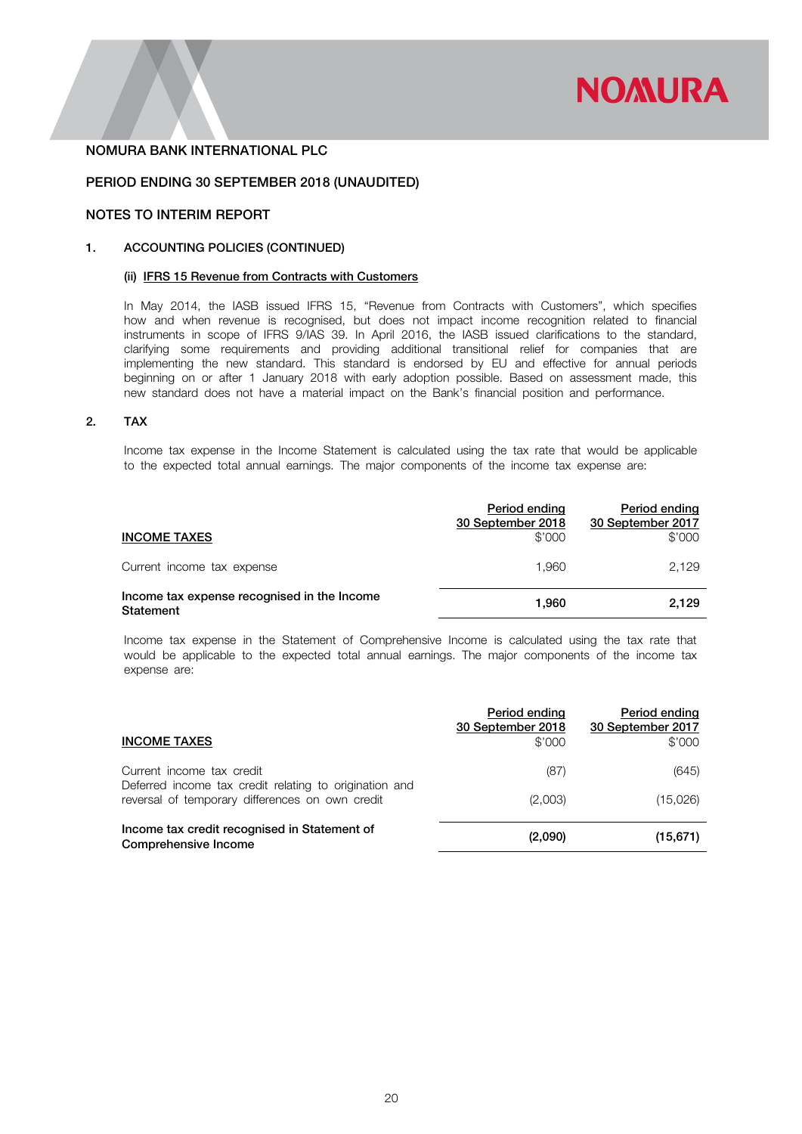

### PERIOD ENDING 30 SEPTEMBER 2018 (UNAUDITED)

# NOTES TO INTERIM REPORT

# 1. ACCOUNTING POLICIES (CONTINUED)

# (ii) IFRS 15 Revenue from Contracts with Customers

In May 2014, the IASB issued IFRS 15, "Revenue from Contracts with Customers", which specifies how and when revenue is recognised, but does not impact income recognition related to financial instruments in scope of IFRS 9/IAS 39. In April 2016, the IASB issued clarifications to the standard, clarifying some requirements and providing additional transitional relief for companies that are implementing the new standard. This standard is endorsed by EU and effective for annual periods beginning on or after 1 January 2018 with early adoption possible. Based on assessment made, this new standard does not have a material impact on the Bank's financial position and performance.

### 2. TAX

Income tax expense in the Income Statement is calculated using the tax rate that would be applicable to the expected total annual earnings. The major components of the income tax expense are:

| <b>INCOME TAXES</b>                                      | Period ending<br>30 September 2018<br>\$'000 | Period ending<br>30 September 2017<br>\$'000 |
|----------------------------------------------------------|----------------------------------------------|----------------------------------------------|
| Current income tax expense                               | 1.960                                        | 2.129                                        |
| Income tax expense recognised in the Income<br>Statement | 1.960                                        | 2.129                                        |

Income tax expense in the Statement of Comprehensive Income is calculated using the tax rate that would be applicable to the expected total annual earnings. The major components of the income tax expense are:

| <b>INCOME TAXES</b>                                                                                       | Period ending<br>30 September 2018<br>\$'000 | Period ending<br>30 September 2017<br>\$'000 |
|-----------------------------------------------------------------------------------------------------------|----------------------------------------------|----------------------------------------------|
| Current income tax credit                                                                                 | (87)                                         | (645)                                        |
| Deferred income tax credit relating to origination and<br>reversal of temporary differences on own credit | (2,003)                                      | (15,026)                                     |
| Income tax credit recognised in Statement of<br>Comprehensive Income                                      | (2,090)                                      | (15,671)                                     |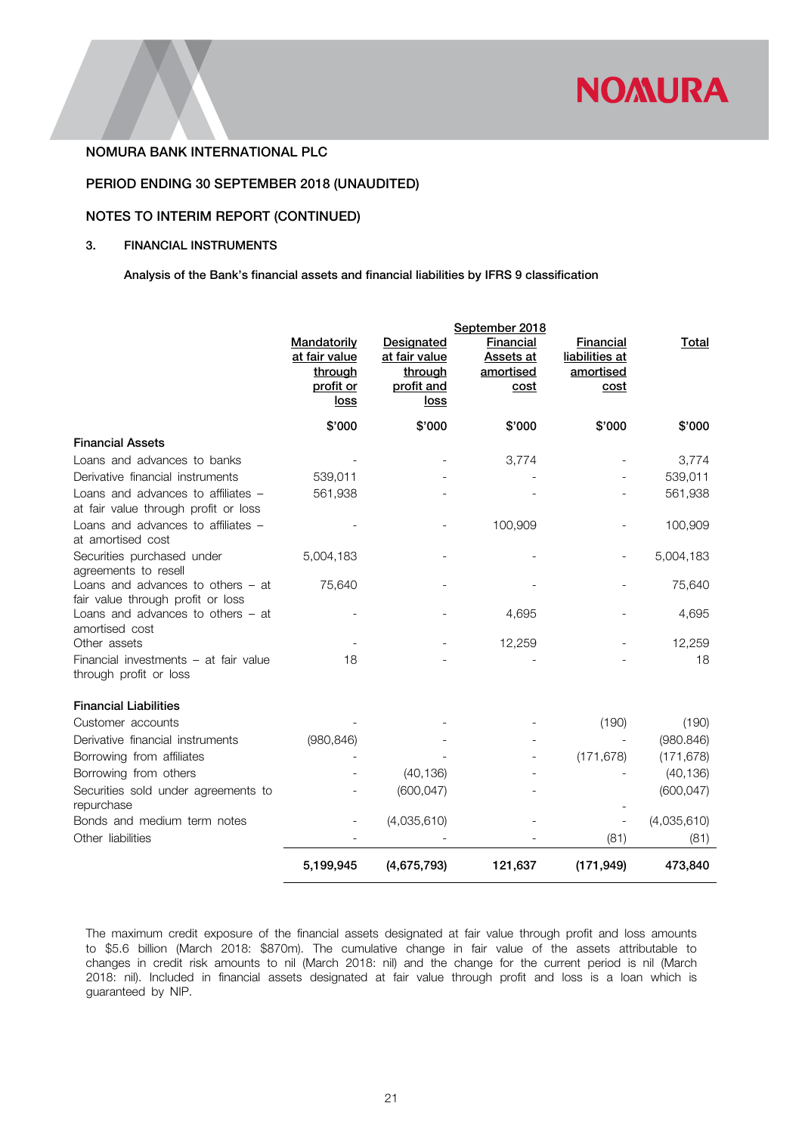

# PERIOD ENDING 30 SEPTEMBER 2018 (UNAUDITED)

# NOTES TO INTERIM REPORT (CONTINUED)

# 3. FINANCIAL INSTRUMENTS

Analysis of the Bank's financial assets and financial liabilities by IFRS 9 classification

|                                                                            |                                                                     |                                                                     | September 2018                                     |                                                  |             |
|----------------------------------------------------------------------------|---------------------------------------------------------------------|---------------------------------------------------------------------|----------------------------------------------------|--------------------------------------------------|-------------|
|                                                                            | Mandatorily<br>at fair value<br>through<br>profit or<br><u>loss</u> | Designated<br>at fair value<br>through<br>profit and<br><u>loss</u> | Financial<br><b>Assets at</b><br>amortised<br>cost | Financial<br>liabilities at<br>amortised<br>cost | Total       |
|                                                                            | \$'000                                                              | \$'000                                                              | \$'000                                             | \$'000                                           | \$'000      |
| <b>Financial Assets</b>                                                    |                                                                     |                                                                     |                                                    |                                                  |             |
| Loans and advances to banks                                                |                                                                     |                                                                     | 3,774                                              |                                                  | 3,774       |
| Derivative financial instruments                                           | 539,011                                                             |                                                                     |                                                    |                                                  | 539,011     |
| Loans and advances to affiliates -<br>at fair value through profit or loss | 561,938                                                             |                                                                     |                                                    |                                                  | 561,938     |
| Loans and advances to affiliates -<br>at amortised cost                    |                                                                     |                                                                     | 100,909                                            |                                                  | 100,909     |
| Securities purchased under<br>agreements to resell                         | 5,004,183                                                           |                                                                     |                                                    |                                                  | 5,004,183   |
| Loans and advances to others $-$ at<br>fair value through profit or loss   | 75,640                                                              |                                                                     |                                                    |                                                  | 75,640      |
| Loans and advances to others $-$ at<br>amortised cost                      |                                                                     |                                                                     | 4,695                                              |                                                  | 4,695       |
| Other assets                                                               |                                                                     |                                                                     | 12,259                                             |                                                  | 12,259      |
| Financial investments - at fair value<br>through profit or loss            | 18                                                                  |                                                                     |                                                    |                                                  | 18          |
| <b>Financial Liabilities</b>                                               |                                                                     |                                                                     |                                                    |                                                  |             |
| Customer accounts                                                          |                                                                     |                                                                     |                                                    | (190)                                            | (190)       |
| Derivative financial instruments                                           | (980, 846)                                                          |                                                                     |                                                    |                                                  | (980.846)   |
| Borrowing from affiliates                                                  |                                                                     |                                                                     |                                                    | (171, 678)                                       | (171, 678)  |
| Borrowing from others                                                      |                                                                     | (40, 136)                                                           |                                                    |                                                  | (40, 136)   |
| Securities sold under agreements to<br>repurchase                          |                                                                     | (600, 047)                                                          |                                                    |                                                  | (600, 047)  |
| Bonds and medium term notes                                                |                                                                     | (4,035,610)                                                         |                                                    |                                                  | (4,035,610) |
| Other liabilities                                                          |                                                                     |                                                                     |                                                    | (81)                                             | (81)        |
|                                                                            | 5,199,945                                                           | (4,675,793)                                                         | 121,637                                            | (171, 949)                                       | 473,840     |

The maximum credit exposure of the financial assets designated at fair value through profit and loss amounts to \$5.6 billion (March 2018: \$870m). The cumulative change in fair value of the assets attributable to changes in credit risk amounts to nil (March 2018: nil) and the change for the current period is nil (March 2018: nil). Included in financial assets designated at fair value through profit and loss is a loan which is guaranteed by NIP.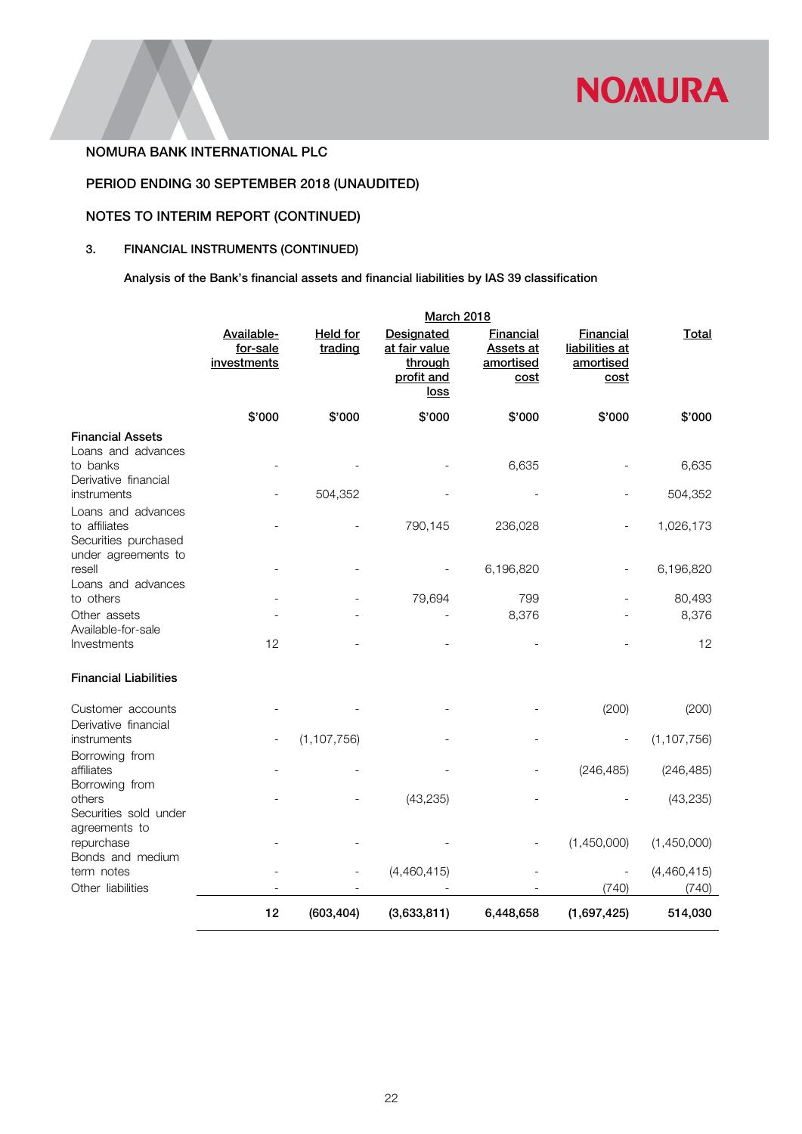

# PERIOD ENDING 30 SEPTEMBER 2018 (UNAUDITED)

# NOTES TO INTERIM REPORT (CONTINUED)

# 3. FINANCIAL INSTRUMENTS (CONTINUED)

Analysis of the Bank's financial assets and financial liabilities by IAS 39 classification

|                                                              | <b>March 2018</b>                     |                            |                                                              |                                                    |                                                         |                      |
|--------------------------------------------------------------|---------------------------------------|----------------------------|--------------------------------------------------------------|----------------------------------------------------|---------------------------------------------------------|----------------------|
|                                                              | Available-<br>for-sale<br>investments | <b>Held for</b><br>trading | Designated<br>at fair value<br>through<br>profit and<br>loss | Financial<br><b>Assets at</b><br>amortised<br>cost | <b>Financial</b><br>liabilities at<br>amortised<br>cost | <b>Total</b>         |
|                                                              | \$'000                                | \$'000                     | \$'000                                                       | \$'000                                             | \$'000                                                  | \$'000               |
| <b>Financial Assets</b><br>Loans and advances<br>to banks    |                                       |                            |                                                              |                                                    |                                                         | 6,635                |
| Derivative financial                                         |                                       |                            |                                                              | 6,635                                              |                                                         |                      |
| instruments<br>Loans and advances                            |                                       | 504,352                    |                                                              |                                                    |                                                         | 504,352              |
| to affiliates<br>Securities purchased<br>under agreements to |                                       |                            | 790,145                                                      | 236,028                                            |                                                         | 1,026,173            |
| resell<br>Loans and advances                                 |                                       |                            |                                                              | 6,196,820                                          |                                                         | 6,196,820            |
| to others                                                    |                                       |                            | 79,694                                                       | 799                                                |                                                         | 80,493               |
| Other assets<br>Available-for-sale<br>Investments            | 12                                    |                            |                                                              | 8,376                                              |                                                         | 8,376<br>12          |
| <b>Financial Liabilities</b>                                 |                                       |                            |                                                              |                                                    |                                                         |                      |
| Customer accounts<br>Derivative financial                    |                                       |                            |                                                              |                                                    | (200)                                                   | (200)                |
| instruments                                                  |                                       | (1, 107, 756)              |                                                              |                                                    | $\qquad \qquad -$                                       | (1, 107, 756)        |
| Borrowing from<br>affiliates<br>Borrowing from               |                                       |                            |                                                              |                                                    | (246, 485)                                              | (246, 485)           |
| others<br>Securities sold under<br>agreements to             |                                       |                            | (43, 235)                                                    |                                                    |                                                         | (43, 235)            |
| repurchase<br>Bonds and medium                               |                                       |                            |                                                              |                                                    | (1,450,000)                                             | (1,450,000)          |
| term notes<br>Other liabilities                              |                                       |                            | (4,460,415)                                                  |                                                    | (740)                                                   | (4,460,415)<br>(740) |
|                                                              | 12                                    | (603, 404)                 | (3,633,811)                                                  | 6,448,658                                          | (1,697,425)                                             | 514,030              |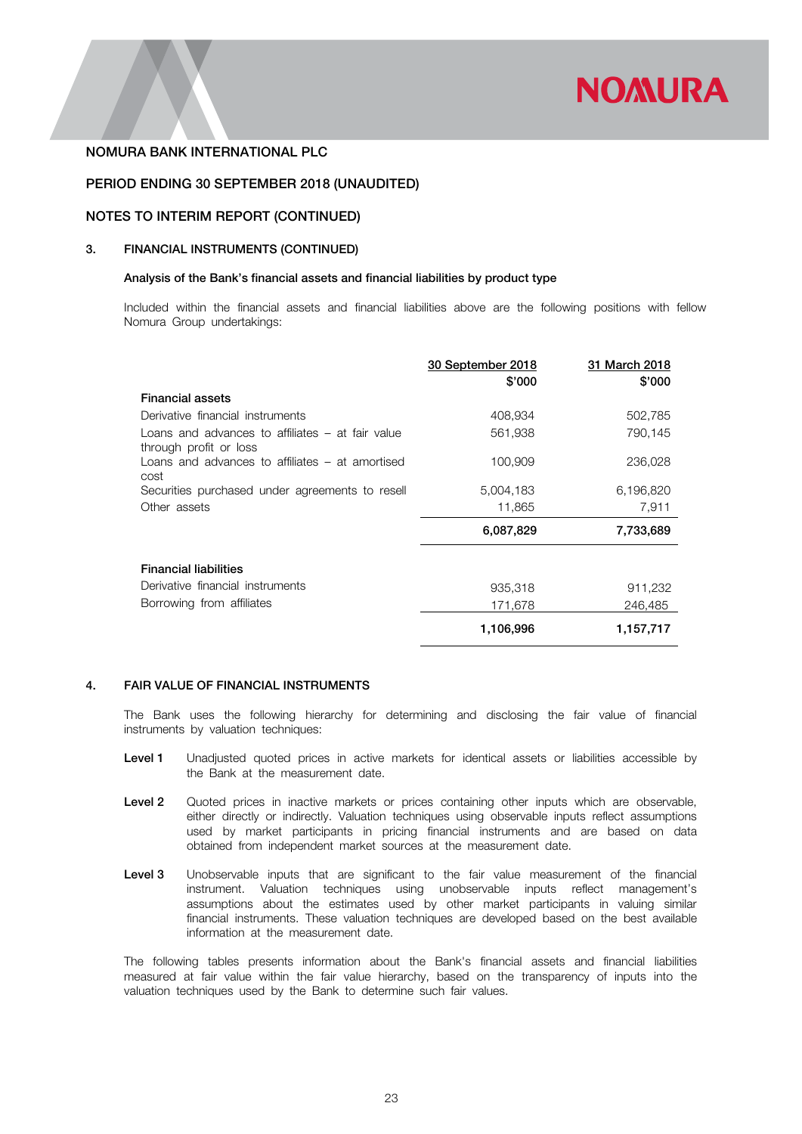

# PERIOD ENDING 30 SEPTEMBER 2018 (UNAUDITED)

# NOTES TO INTERIM REPORT (CONTINUED)

### 3. FINANCIAL INSTRUMENTS (CONTINUED)

### Analysis of the Bank's financial assets and financial liabilities by product type

Included within the financial assets and financial liabilities above are the following positions with fellow Nomura Group undertakings:

|                                                                            | 30 September 2018<br>\$'000 | 31 March 2018<br>\$'000 |
|----------------------------------------------------------------------------|-----------------------------|-------------------------|
| <b>Financial assets</b>                                                    |                             |                         |
| Derivative financial instruments                                           | 408,934                     | 502,785                 |
| Loans and advances to affiliates – at fair value<br>through profit or loss | 561,938                     | 790,145                 |
| Loans and advances to affiliates – at amortised<br>cost                    | 100,909                     | 236,028                 |
| Securities purchased under agreements to resell                            | 5,004,183                   | 6,196,820               |
| Other assets                                                               | 11,865                      | 7,911                   |
|                                                                            | 6,087,829                   | 7,733,689               |
| <b>Financial liabilities</b>                                               |                             |                         |
| Derivative financial instruments                                           | 935,318                     | 911,232                 |
| Borrowing from affiliates                                                  | 171.678                     | 246,485                 |
|                                                                            | 1,106,996                   | 1,157,717               |

# 4. FAIR VALUE OF FINANCIAL INSTRUMENTS

The Bank uses the following hierarchy for determining and disclosing the fair value of financial instruments by valuation techniques:

- Level 1 Unadjusted quoted prices in active markets for identical assets or liabilities accessible by the Bank at the measurement date.
- Level 2 Quoted prices in inactive markets or prices containing other inputs which are observable, either directly or indirectly. Valuation techniques using observable inputs reflect assumptions used by market participants in pricing financial instruments and are based on data obtained from independent market sources at the measurement date.
- Level 3 Unobservable inputs that are significant to the fair value measurement of the financial instrument. Valuation techniques using unobservable inputs reflect management's assumptions about the estimates used by other market participants in valuing similar financial instruments. These valuation techniques are developed based on the best available information at the measurement date.

The following tables presents information about the Bank's financial assets and financial liabilities measured at fair value within the fair value hierarchy, based on the transparency of inputs into the valuation techniques used by the Bank to determine such fair values.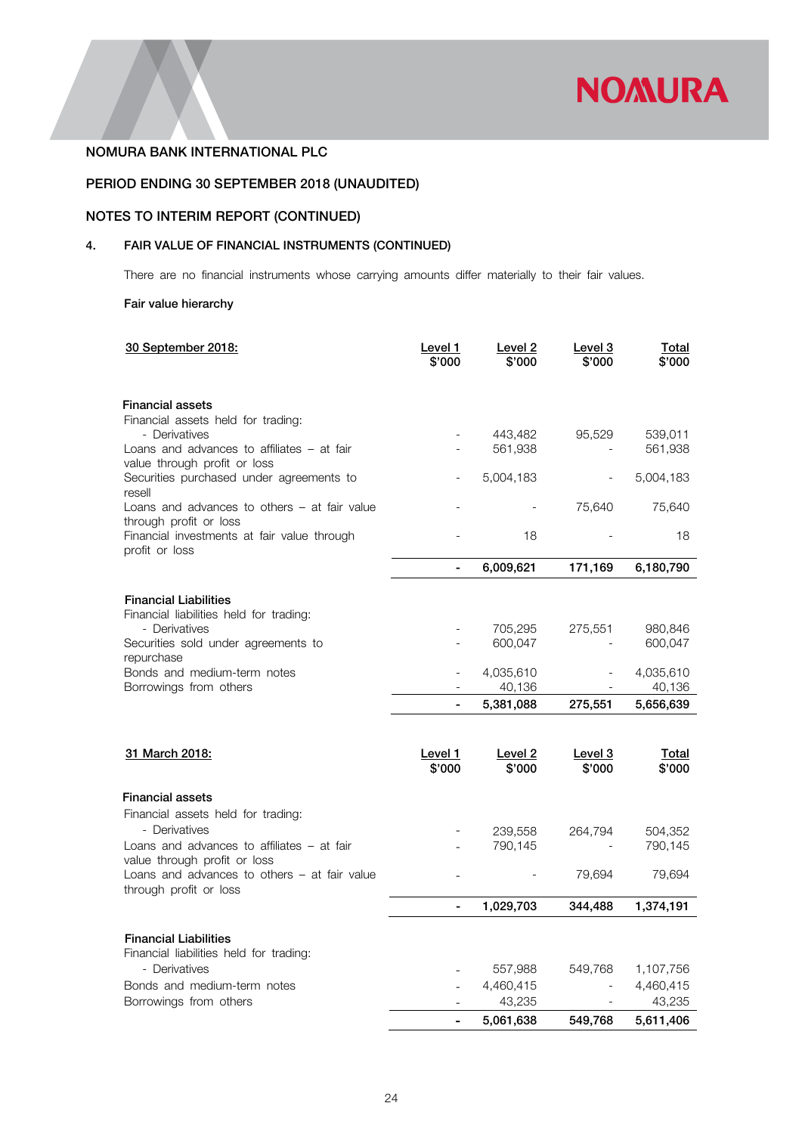

# PERIOD ENDING 30 SEPTEMBER 2018 (UNAUDITED)

# NOTES TO INTERIM REPORT (CONTINUED)

# 4. FAIR VALUE OF FINANCIAL INSTRUMENTS (CONTINUED)

There are no financial instruments whose carrying amounts differ materially to their fair values.

# Fair value hierarchy

| 30 September 2018:                                                       | Level 1<br>\$'000 | Level <sub>2</sub><br>\$'000 | Level 3<br>\$'000                   | <b>Total</b><br>\$'000 |
|--------------------------------------------------------------------------|-------------------|------------------------------|-------------------------------------|------------------------|
| <b>Financial assets</b>                                                  |                   |                              |                                     |                        |
| Financial assets held for trading:                                       |                   |                              |                                     |                        |
| - Derivatives                                                            |                   | 443,482                      | 95,529                              | 539,011                |
| Loans and advances to affiliates – at fair                               |                   | 561,938                      |                                     | 561,938                |
| value through profit or loss<br>Securities purchased under agreements to |                   | 5,004,183                    |                                     | 5,004,183              |
| resell                                                                   |                   |                              |                                     |                        |
| Loans and advances to others $-$ at fair value<br>through profit or loss |                   |                              | 75,640                              | 75,640                 |
| Financial investments at fair value through<br>profit or loss            |                   | 18                           |                                     | 18                     |
|                                                                          |                   | 6,009,621                    | 171,169                             | 6,180,790              |
|                                                                          |                   |                              |                                     |                        |
| <b>Financial Liabilities</b><br>Financial liabilities held for trading:  |                   |                              |                                     |                        |
| - Derivatives                                                            |                   | 705,295                      | 275,551                             | 980,846                |
| Securities sold under agreements to                                      |                   | 600,047                      |                                     | 600,047                |
| repurchase                                                               |                   |                              |                                     |                        |
| Bonds and medium-term notes                                              |                   | 4,035,610                    |                                     | 4,035,610              |
| Borrowings from others                                                   |                   | 40,136                       |                                     | 40,136                 |
|                                                                          | L,                | 5,381,088                    | 275,551                             | 5,656,639              |
|                                                                          |                   |                              |                                     |                        |
| 31 March 2018:                                                           | Level 1           | Level <sub>2</sub>           | Level 3                             | <b>Total</b>           |
|                                                                          | \$'000            | \$'000                       | \$'000                              | \$'000                 |
| <b>Financial assets</b>                                                  |                   |                              |                                     |                        |
| Financial assets held for trading:                                       |                   |                              |                                     |                        |
| - Derivatives                                                            |                   | 239,558                      | 264,794                             | 504,352                |
| Loans and advances to affiliates – at fair                               |                   | 790,145                      |                                     | 790,145                |
| value through profit or loss                                             |                   |                              |                                     |                        |
| Loans and advances to others $-$ at fair value<br>through profit or loss |                   |                              | 79,694                              | 79,694                 |
|                                                                          | $\blacksquare$    | 1,029,703                    | 344,488                             | 1,374,191              |
|                                                                          |                   |                              |                                     |                        |
| <b>Financial Liabilities</b><br>Financial liabilities held for trading:  |                   |                              |                                     |                        |
|                                                                          |                   |                              |                                     |                        |
|                                                                          |                   |                              |                                     |                        |
| - Derivatives                                                            |                   | 557,988                      | 549,768<br>$\overline{\phantom{a}}$ | 1,107,756              |
| Bonds and medium-term notes<br>Borrowings from others                    |                   | 4,460,415<br>43,235          |                                     | 4,460,415<br>43,235    |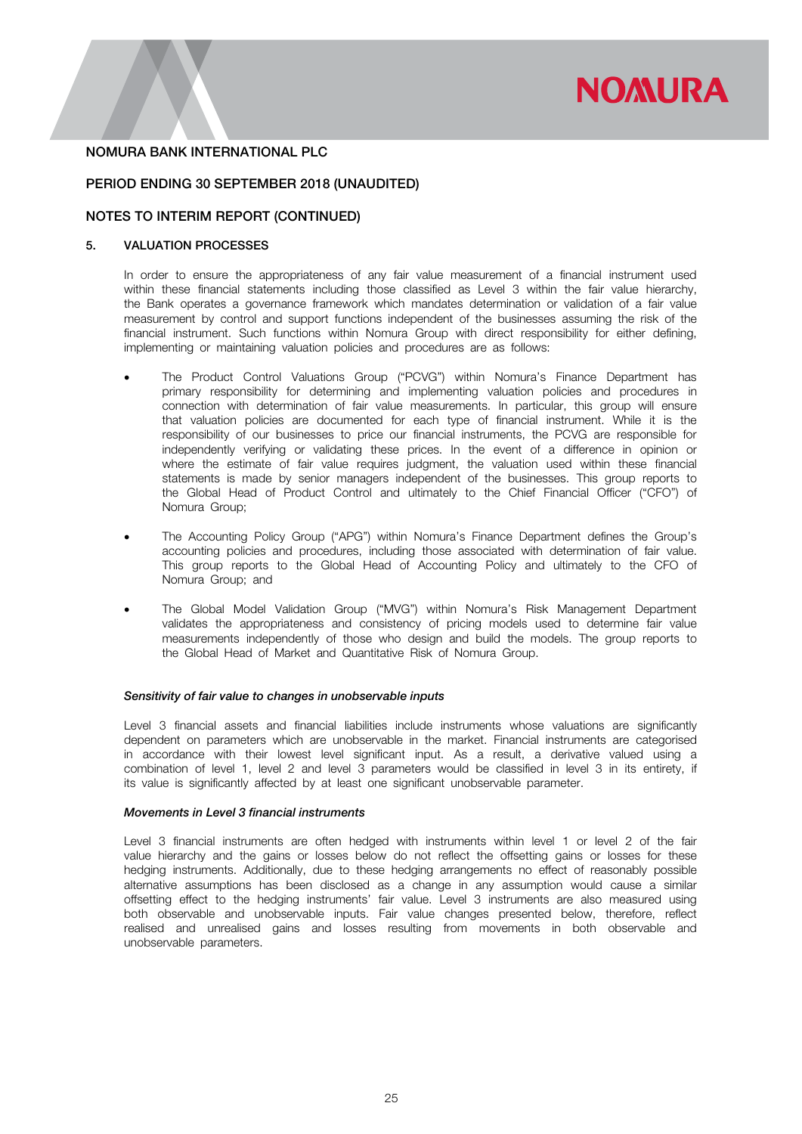

# PERIOD ENDING 30 SEPTEMBER 2018 (UNAUDITED)

# NOTES TO INTERIM REPORT (CONTINUED)

# 5. VALUATION PROCESSES

In order to ensure the appropriateness of any fair value measurement of a financial instrument used within these financial statements including those classified as Level 3 within the fair value hierarchy, the Bank operates a governance framework which mandates determination or validation of a fair value measurement by control and support functions independent of the businesses assuming the risk of the financial instrument. Such functions within Nomura Group with direct responsibility for either defining, implementing or maintaining valuation policies and procedures are as follows:

- The Product Control Valuations Group ("PCVG") within Nomura's Finance Department has primary responsibility for determining and implementing valuation policies and procedures in connection with determination of fair value measurements. In particular, this group will ensure that valuation policies are documented for each type of financial instrument. While it is the responsibility of our businesses to price our financial instruments, the PCVG are responsible for independently verifying or validating these prices. In the event of a difference in opinion or where the estimate of fair value requires judgment, the valuation used within these financial statements is made by senior managers independent of the businesses. This group reports to the Global Head of Product Control and ultimately to the Chief Financial Officer ("CFO") of Nomura Group;
- The Accounting Policy Group ("APG") within Nomura's Finance Department defines the Group's accounting policies and procedures, including those associated with determination of fair value. This group reports to the Global Head of Accounting Policy and ultimately to the CFO of Nomura Group; and
- The Global Model Validation Group ("MVG") within Nomura's Risk Management Department validates the appropriateness and consistency of pricing models used to determine fair value measurements independently of those who design and build the models. The group reports to the Global Head of Market and Quantitative Risk of Nomura Group.

#### *Sensitivity of fair value to changes in unobservable inputs*

Level 3 financial assets and financial liabilities include instruments whose valuations are significantly dependent on parameters which are unobservable in the market. Financial instruments are categorised in accordance with their lowest level significant input. As a result, a derivative valued using a combination of level 1, level 2 and level 3 parameters would be classified in level 3 in its entirety, if its value is significantly affected by at least one significant unobservable parameter.

### *Movements in Level 3 financial instruments*

Level 3 financial instruments are often hedged with instruments within level 1 or level 2 of the fair value hierarchy and the gains or losses below do not reflect the offsetting gains or losses for these hedging instruments. Additionally, due to these hedging arrangements no effect of reasonably possible alternative assumptions has been disclosed as a change in any assumption would cause a similar offsetting effect to the hedging instruments' fair value. Level 3 instruments are also measured using both observable and unobservable inputs. Fair value changes presented below, therefore, reflect realised and unrealised gains and losses resulting from movements in both observable and unobservable parameters.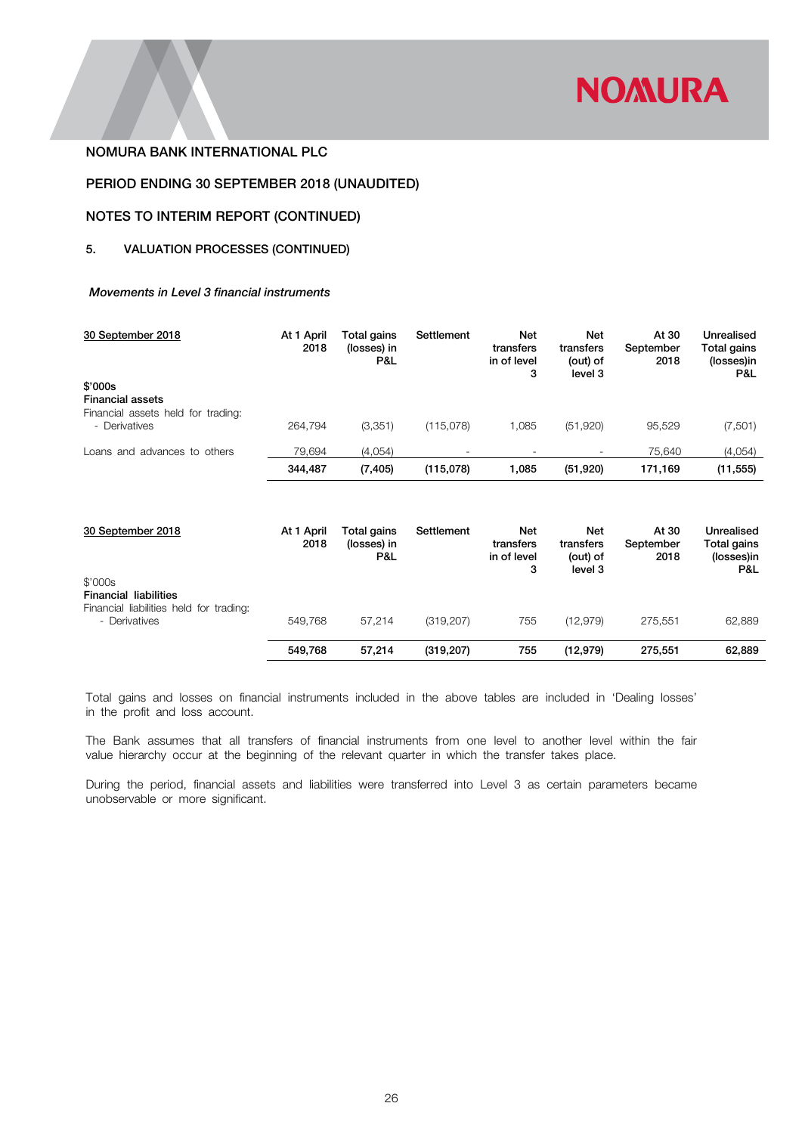

# PERIOD ENDING 30 SEPTEMBER 2018 (UNAUDITED)

# NOTES TO INTERIM REPORT (CONTINUED)

# 5. VALUATION PROCESSES (CONTINUED)

# *Movements in Level 3 financial instruments*

| 30 September 2018                                   | At 1 April<br>2018 | Total gains<br>(losses) in<br>P&L | Settlement | Net<br>transfers<br>in of level<br>3 | Net<br>transfers<br>(out) of<br>level 3 | At 30<br>September<br>2018 | Unrealised<br>Total gains<br>(losses)in<br>P&L |
|-----------------------------------------------------|--------------------|-----------------------------------|------------|--------------------------------------|-----------------------------------------|----------------------------|------------------------------------------------|
| \$'000s<br><b>Financial assets</b>                  |                    |                                   |            |                                      |                                         |                            |                                                |
| Financial assets held for trading:<br>- Derivatives | 264.794            | (3,351)                           | (115,078)  | 1.085                                | (51,920)                                | 95,529                     | (7,501)                                        |
| Loans and advances to others                        | 79.694             | (4,054)                           | ٠          |                                      |                                         | 75.640                     | (4,054)                                        |
|                                                     | 344,487            | (7, 405)                          | (115,078)  | 1,085                                | (51, 920)                               | 171,169                    | (11, 555)                                      |

| 30 September 2018                                                                  | At 1 April<br>2018 | Total gains<br>(losses) in<br>P&L | Settlement | Net<br>transfers<br>in of level<br>3 | <b>Net</b><br>transfers<br>(out) of<br>level 3 | At 30<br>September<br>2018 | Unrealised<br>Total gains<br>(losses)in<br>P&L |
|------------------------------------------------------------------------------------|--------------------|-----------------------------------|------------|--------------------------------------|------------------------------------------------|----------------------------|------------------------------------------------|
| \$'000s<br><b>Financial liabilities</b><br>Financial liabilities held for trading: |                    |                                   |            |                                      |                                                |                            |                                                |
| - Derivatives                                                                      | 549.768            | 57.214                            | (319, 207) | 755                                  | (12, 979)                                      | 275.551                    | 62,889                                         |
|                                                                                    | 549.768            | 57.214                            | (319, 207) | 755                                  | (12, 979)                                      | 275.551                    | 62,889                                         |

Total gains and losses on financial instruments included in the above tables are included in 'Dealing losses' in the profit and loss account.

The Bank assumes that all transfers of financial instruments from one level to another level within the fair value hierarchy occur at the beginning of the relevant quarter in which the transfer takes place.

During the period, financial assets and liabilities were transferred into Level 3 as certain parameters became unobservable or more significant.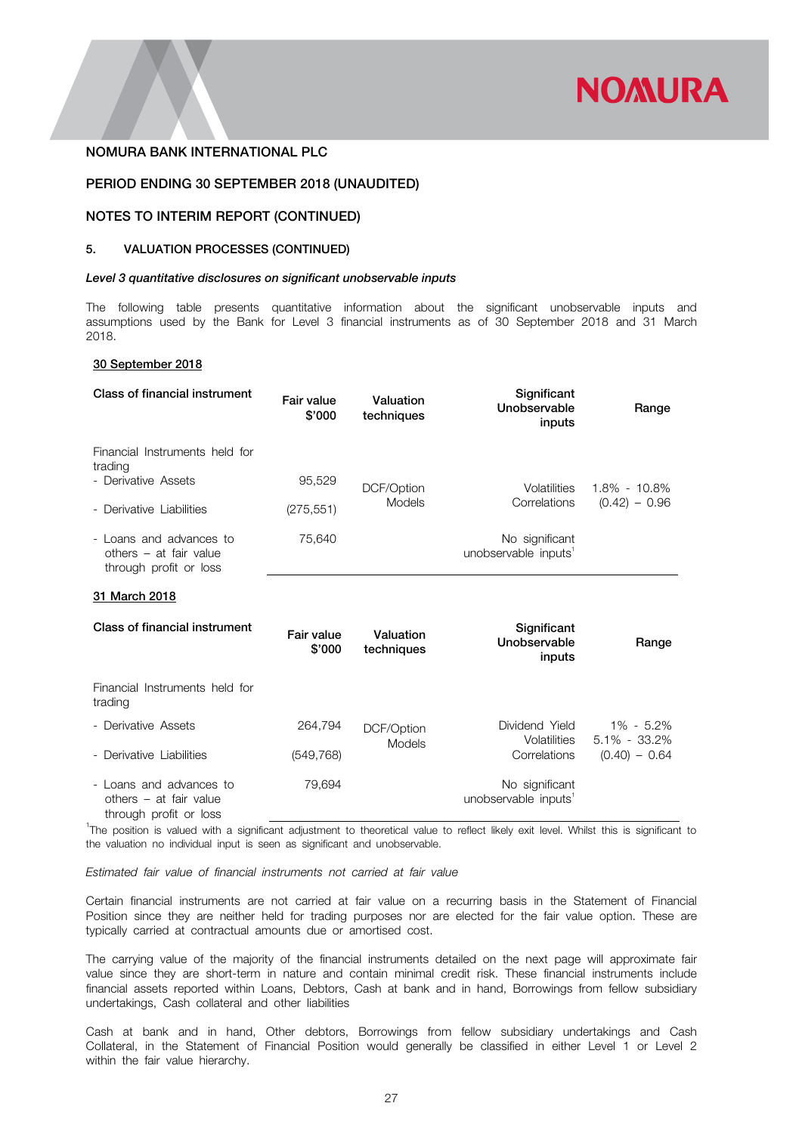

# PERIOD ENDING 30 SEPTEMBER 2018 (UNAUDITED)

# NOTES TO INTERIM REPORT (CONTINUED)

# 5. VALUATION PROCESSES (CONTINUED)

#### *Level 3 quantitative disclosures on significant unobservable inputs*

The following table presents quantitative information about the significant unobservable inputs and assumptions used by the Bank for Level 3 financial instruments as of 30 September 2018 and 31 March 2018.

# 30 September 2018

| Class of financial instrument                                               | Fair value<br>\$'000 | Valuation<br>techniques | Significant<br>Unobservable<br>inputs              | Range           |
|-----------------------------------------------------------------------------|----------------------|-------------------------|----------------------------------------------------|-----------------|
| Financial Instruments held for<br>trading                                   |                      |                         |                                                    |                 |
| - Derivative Assets                                                         | 95,529               | DCF/Option              | Volatilities                                       | 1.8% - 10.8%    |
| - Derivative Liabilities                                                    | Models<br>(275, 551) |                         | Correlations                                       | $(0.42) - 0.96$ |
| - Loans and advances to<br>others – at fair value<br>through profit or loss | 75.640               |                         | No significant<br>unobservable inputs <sup>1</sup> |                 |

### 31 March 2018

| Class of financial instrument                                               | Fair value<br>\$'000 | Valuation<br>techniques | Significant<br>Unobservable<br>inputs              | Range                         |
|-----------------------------------------------------------------------------|----------------------|-------------------------|----------------------------------------------------|-------------------------------|
| Financial Instruments held for<br>trading                                   |                      |                         |                                                    |                               |
| - Derivative Assets                                                         | 264.794              | DCF/Option              | Dividend Yield<br>Volatilities                     | 1% - 5.2%<br>$5.1\% - 33.2\%$ |
| - Derivative Liabilities                                                    | (549, 768)           | Models                  | Correlations                                       | $(0.40) - 0.64$               |
| - Loans and advances to<br>others - at fair value<br>through profit or loss | 79.694               |                         | No significant<br>unobservable inputs <sup>1</sup> |                               |

<sup>1</sup>The position is valued with a significant adjustment to theoretical value to reflect likely exit level. Whilst this is significant to the valuation no individual input is seen as significant and unobservable.

*Estimated fair value of financial instruments not carried at fair value*

Certain financial instruments are not carried at fair value on a recurring basis in the Statement of Financial Position since they are neither held for trading purposes nor are elected for the fair value option. These are typically carried at contractual amounts due or amortised cost.

The carrying value of the majority of the financial instruments detailed on the next page will approximate fair value since they are short-term in nature and contain minimal credit risk. These financial instruments include financial assets reported within Loans, Debtors, Cash at bank and in hand, Borrowings from fellow subsidiary undertakings, Cash collateral and other liabilities

Cash at bank and in hand, Other debtors, Borrowings from fellow subsidiary undertakings and Cash Collateral, in the Statement of Financial Position would generally be classified in either Level 1 or Level 2 within the fair value hierarchy.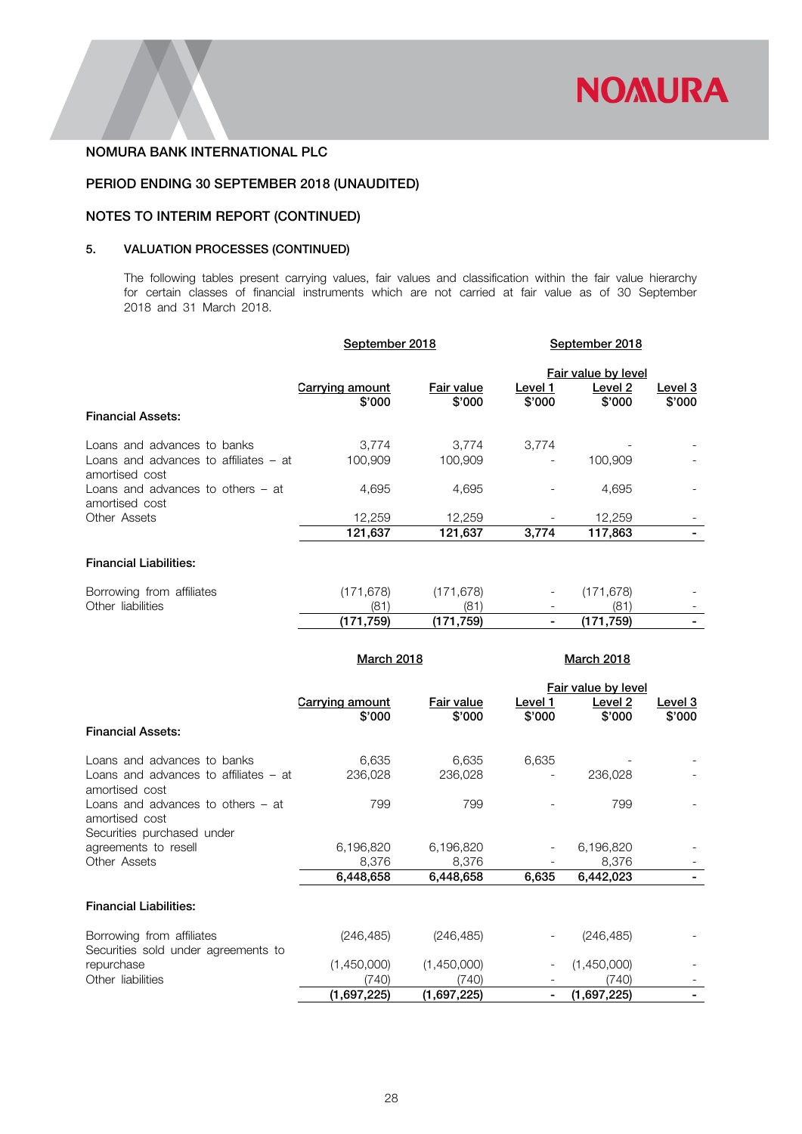

# PERIOD ENDING 30 SEPTEMBER 2018 (UNAUDITED)

# NOTES TO INTERIM REPORT (CONTINUED)

# 5. VALUATION PROCESSES (CONTINUED)

The following tables present carrying values, fair values and classification within the fair value hierarchy for certain classes of financial instruments which are not carried at fair value as of 30 September 2018 and 31 March 2018.

|                                                           | September 2018            |                      | September 2018    |                                          |                   |
|-----------------------------------------------------------|---------------------------|----------------------|-------------------|------------------------------------------|-------------------|
| <b>Financial Assets:</b>                                  | Carrying amount<br>\$'000 | Fair value<br>\$'000 | Level 1<br>\$'000 | Fair value by level<br>Level 2<br>\$'000 | Level 3<br>\$'000 |
| Loans and advances to banks                               | 3,774                     | 3,774                | 3,774             |                                          |                   |
| Loans and advances to affiliates $-$ at<br>amortised cost | 100,909                   | 100,909              |                   | 100,909                                  |                   |
| Loans and advances to others $-$ at<br>amortised cost     | 4,695                     | 4,695                |                   | 4,695                                    |                   |
| Other Assets                                              | 12,259                    | 12,259               |                   | 12,259                                   |                   |
|                                                           | 121,637                   | 121,637              | 3,774             | 117,863                                  |                   |
| <b>Financial Liabilities:</b>                             |                           |                      |                   |                                          |                   |
| Borrowing from affiliates                                 | (171, 678)                | (171, 678)           |                   | (171, 678)                               |                   |
| Other liabilities                                         | (81)                      | (81)                 |                   | (81)                                     |                   |
|                                                           | (171, 759)                | (171, 759)           |                   | (171, 759)                               |                   |
|                                                           | <b>March 2018</b>         |                      |                   | <b>March 2018</b>                        |                   |
|                                                           |                           |                      |                   | _ _ _ _ _ _ _                            |                   |

|                                                                  |                 |             |         | Fair value by level |                |
|------------------------------------------------------------------|-----------------|-------------|---------|---------------------|----------------|
|                                                                  | Carrying amount | Fair value  | Level 1 | Level 2             | <u>Level 3</u> |
|                                                                  | \$'000          | \$'000      | \$'000  | \$'000              | \$'000         |
| <b>Financial Assets:</b>                                         |                 |             |         |                     |                |
| Loans and advances to banks                                      | 6,635           | 6,635       | 6,635   |                     |                |
| Loans and advances to affiliates – at<br>amortised cost          | 236,028         | 236,028     |         | 236,028             |                |
| Loans and advances to others $-$ at<br>amortised cost            | 799             | 799         |         | 799                 |                |
| Securities purchased under                                       |                 |             |         |                     |                |
| agreements to resell                                             | 6,196,820       | 6,196,820   |         | 6,196,820           |                |
| Other Assets                                                     | 8,376           | 8,376       |         | 8,376               |                |
|                                                                  | 6,448,658       | 6,448,658   | 6,635   | 6,442,023           |                |
| <b>Financial Liabilities:</b>                                    |                 |             |         |                     |                |
| Borrowing from affiliates<br>Securities sold under agreements to | (246, 485)      | (246, 485)  |         | (246, 485)          |                |
| repurchase                                                       | (1,450,000)     | (1,450,000) |         | (1,450,000)         |                |
| Other liabilities                                                | (740)           | (740)       |         | (740)               |                |
|                                                                  | (1,697,225)     | (1,697,225) |         | (1,697,225)         |                |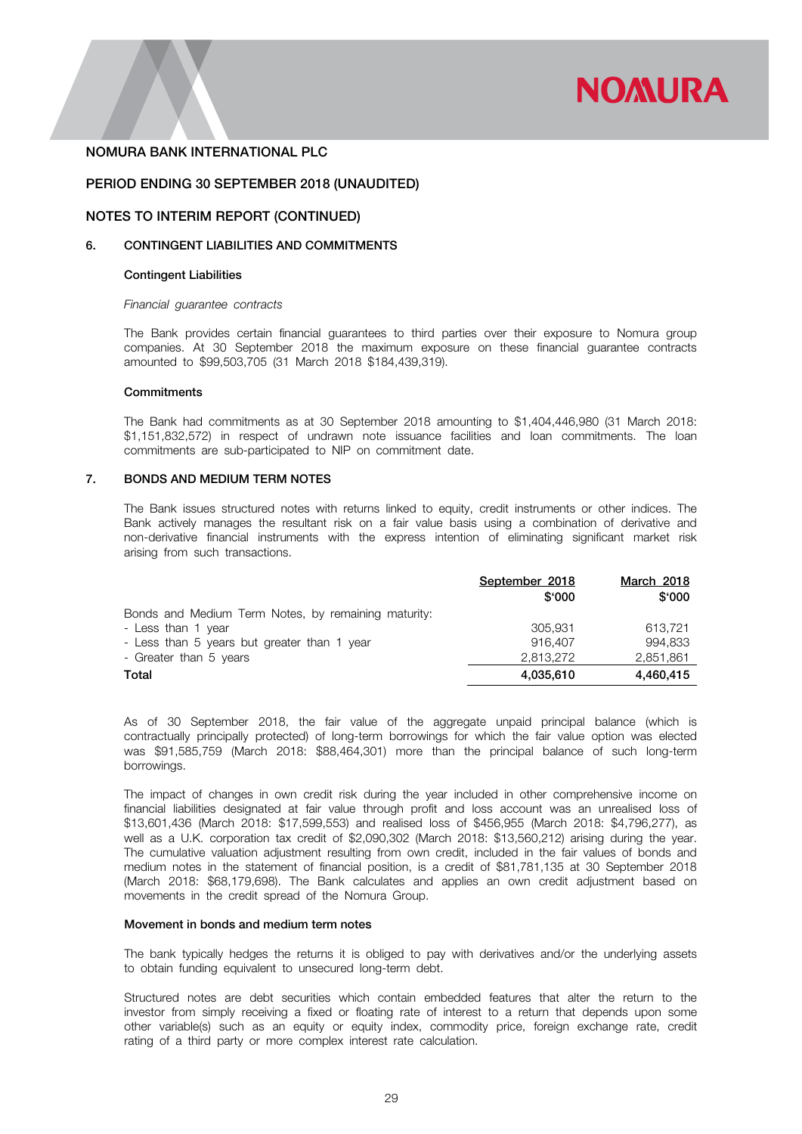

### PERIOD ENDING 30 SEPTEMBER 2018 (UNAUDITED)

### NOTES TO INTERIM REPORT (CONTINUED)

# 6. CONTINGENT LIABILITIES AND COMMITMENTS

#### Contingent Liabilities

#### *Financial guarantee contracts*

The Bank provides certain financial guarantees to third parties over their exposure to Nomura group companies. At 30 September 2018 the maximum exposure on these financial guarantee contracts amounted to \$99,503,705 (31 March 2018 \$184,439,319).

#### **Commitments**

The Bank had commitments as at 30 September 2018 amounting to \$1,404,446,980 (31 March 2018: \$1,151,832,572) in respect of undrawn note issuance facilities and loan commitments. The loan commitments are sub-participated to NIP on commitment date.

### 7. BONDS AND MEDIUM TERM NOTES

The Bank issues structured notes with returns linked to equity, credit instruments or other indices. The Bank actively manages the resultant risk on a fair value basis using a combination of derivative and non-derivative financial instruments with the express intention of eliminating significant market risk arising from such transactions.

|                                                     | September 2018 | March 2018 |  |
|-----------------------------------------------------|----------------|------------|--|
|                                                     | \$000          | \$000      |  |
| Bonds and Medium Term Notes, by remaining maturity: |                |            |  |
| - Less than 1 year                                  | 305.931        | 613.721    |  |
| - Less than 5 years but greater than 1 year         | 916,407        | 994.833    |  |
| - Greater than 5 years                              | 2.813.272      | 2,851,861  |  |
| Total                                               | 4,035,610      | 4,460,415  |  |

As of 30 September 2018, the fair value of the aggregate unpaid principal balance (which is contractually principally protected) of long-term borrowings for which the fair value option was elected was \$91,585,759 (March 2018: \$88,464,301) more than the principal balance of such long-term borrowings.

The impact of changes in own credit risk during the year included in other comprehensive income on financial liabilities designated at fair value through profit and loss account was an unrealised loss of \$13,601,436 (March 2018: \$17,599,553) and realised loss of \$456,955 (March 2018: \$4,796,277), as well as a U.K. corporation tax credit of \$2,090,302 (March 2018: \$13,560,212) arising during the year. The cumulative valuation adjustment resulting from own credit, included in the fair values of bonds and medium notes in the statement of financial position, is a credit of \$81,781,135 at 30 September 2018 (March 2018: \$68,179,698). The Bank calculates and applies an own credit adjustment based on movements in the credit spread of the Nomura Group.

#### Movement in bonds and medium term notes

The bank typically hedges the returns it is obliged to pay with derivatives and/or the underlying assets to obtain funding equivalent to unsecured long-term debt.

Structured notes are debt securities which contain embedded features that alter the return to the investor from simply receiving a fixed or floating rate of interest to a return that depends upon some other variable(s) such as an equity or equity index, commodity price, foreign exchange rate, credit rating of a third party or more complex interest rate calculation.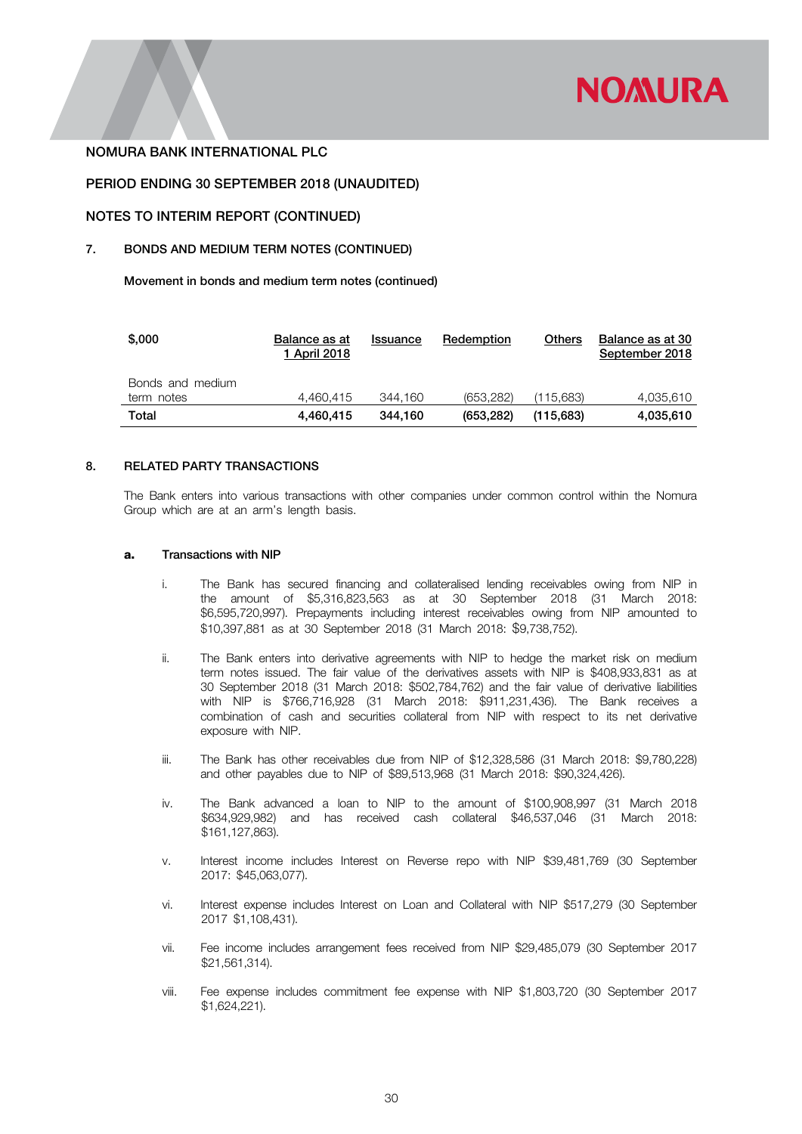

# PERIOD ENDING 30 SEPTEMBER 2018 (UNAUDITED)

# NOTES TO INTERIM REPORT (CONTINUED)

### 7. BONDS AND MEDIUM TERM NOTES (CONTINUED)

Movement in bonds and medium term notes (continued)

| \$,000           | Balance as at<br>1 April 2018 | Issuance | Redemption | Others    | Balance as at 30<br>September 2018 |
|------------------|-------------------------------|----------|------------|-----------|------------------------------------|
| Bonds and medium |                               |          |            |           |                                    |
| term notes       | 4.460.415                     | 344.160  | (653.282)  | (115.683) | 4,035,610                          |
| Total            | 4.460.415                     | 344.160  | (653, 282) | (115,683) | 4,035,610                          |

# 8. RELATED PARTY TRANSACTIONS

The Bank enters into various transactions with other companies under common control within the Nomura Group which are at an arm's length basis.

### a. Transactions with NIP

- i. The Bank has secured financing and collateralised lending receivables owing from NIP in the amount of \$5,316,823,563 as at 30 September 2018 (31 March 2018: \$6,595,720,997). Prepayments including interest receivables owing from NIP amounted to \$10,397,881 as at 30 September 2018 (31 March 2018: \$9,738,752).
- ii. The Bank enters into derivative agreements with NIP to hedge the market risk on medium term notes issued. The fair value of the derivatives assets with NIP is \$408,933,831 as at 30 September 2018 (31 March 2018: \$502,784,762) and the fair value of derivative liabilities with NIP is \$766,716,928 (31 March 2018: \$911,231,436). The Bank receives a combination of cash and securities collateral from NIP with respect to its net derivative exposure with NIP.
- iii. The Bank has other receivables due from NIP of \$12,328,586 (31 March 2018: \$9,780,228) and other payables due to NIP of \$89,513,968 (31 March 2018: \$90,324,426).
- iv. The Bank advanced a loan to NIP to the amount of \$100,908,997 (31 March 2018 \$634,929,982) and has received cash collateral \$46,537,046 (31 March 2018: \$161,127,863).
- v. Interest income includes Interest on Reverse repo with NIP \$39,481,769 (30 September 2017: \$45,063,077).
- vi. Interest expense includes Interest on Loan and Collateral with NIP \$517,279 (30 September 2017 \$1,108,431).
- vii. Fee income includes arrangement fees received from NIP \$29,485,079 (30 September 2017 \$21,561,314).
- viii. Fee expense includes commitment fee expense with NIP \$1,803,720 (30 September 2017 \$1,624,221).